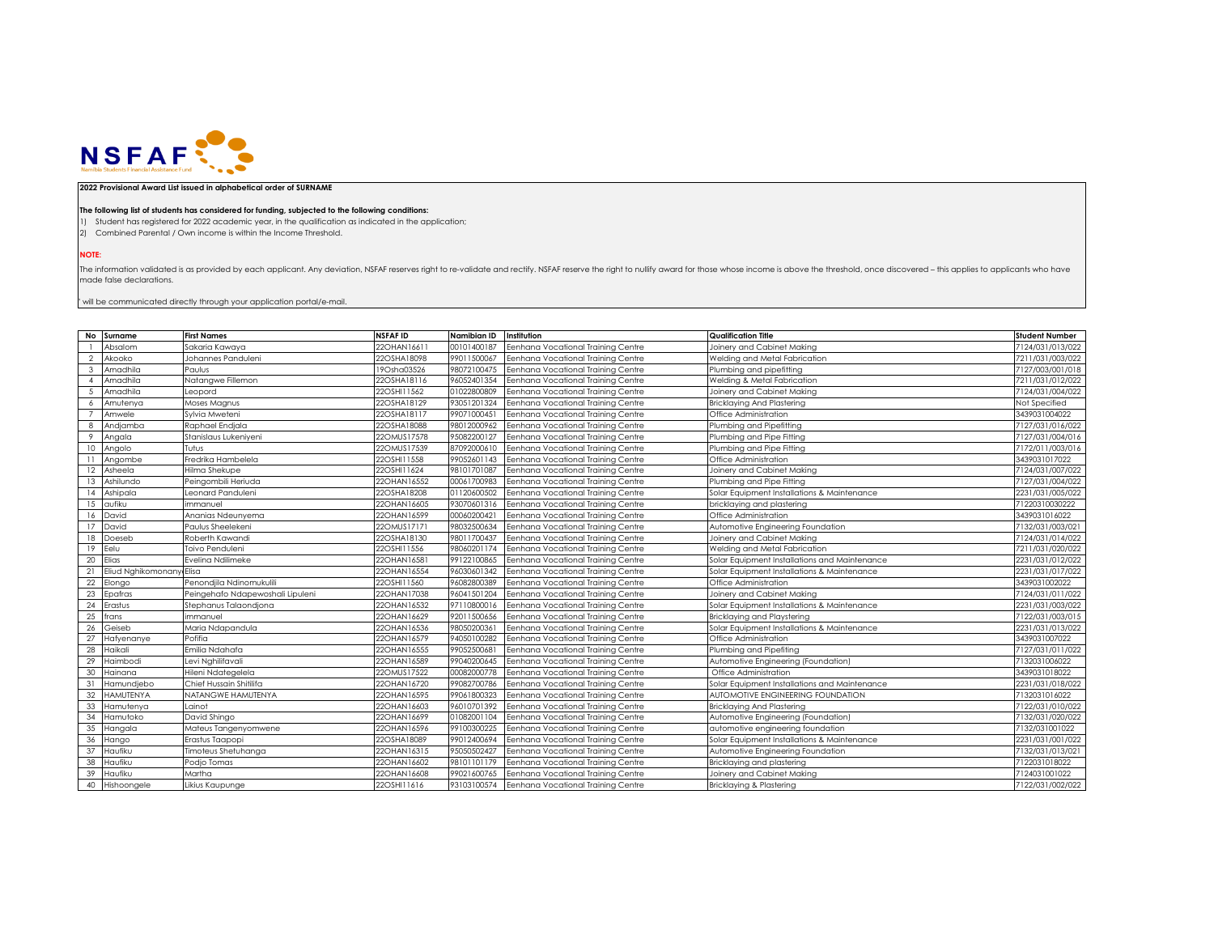

## **2022 Provisional Award List issued in alphabetical order of SURNAME**

## **The following list of students has considered for funding, subjected to the following conditions:**

1) Student has registered for 2022 academic year, in the qualification as indicated in the application;

2) Combined Parental / Own income is within the Income Threshold.

**NOTE:**

The information validated is as provided by each applicant. Any deviation, NSFAF reserves right to re-validate and rectify. NSFAF reserve the right to nullify award for those whose income is above the threshold, once disco made false declarations.

 $^{\circ}$  will be communicated directly through your application portal/e-mail.

|                | No Surname         | <b>First Names</b>               | <b>NSFAF ID</b> | Namibian ID | Institution                                    | <b>Qualification Title</b>                    | <b>Student Number</b> |
|----------------|--------------------|----------------------------------|-----------------|-------------|------------------------------------------------|-----------------------------------------------|-----------------------|
|                | Absalom            | Sakaria Kawaya                   | 22OHAN16611     | 00101400187 | Eenhana Vocational Training Centre             | Joinery and Cabinet Making                    | 7124/031/013/022      |
| $\overline{2}$ | Akooko             | Johannes Panduleni               | 22OSHA18098     | 99011500067 | Eenhana Vocational Training Centre             | Welding and Metal Fabrication                 | 7211/031/003/022      |
| 3              | Amadhila           | Paulus                           | 19Osha03526     | 98072100475 | Eenhana Vocational Training Centre             | Plumbing and pipefitting                      | 7127/003/001/018      |
| $\overline{4}$ | Amadhila           | Natangwe Fillemon                | 22OSHA18116     | 96052401354 | Eenhana Vocational Training Centre             | Welding & Metal Fabrication                   | 7211/031/012/022      |
| -5             | Amadhila           | Leopord                          | 22OSHI11562     | 01022800809 | Eenhana Vocational Training Centre             | Joinery and Cabinet Making                    | 7124/031/004/022      |
| 6              | Amutenya           | Moses Magnus                     | 22OSHA18129     | 93051201324 | Eenhana Vocational Training Centre             | Bricklaying And Plastering                    | Not Specified         |
|                | Amwele             | Sylvia Mweteni                   | 22OSHA18117     | 99071000451 | Eenhana Vocational Training Centre             | Office Administration                         | 3439031004022         |
| 8              | Andjamba           | Raphael Endjala                  | 22OSHA18088     | 98012000962 | Eenhana Vocational Training Centre             | Plumbing and Pipefitting                      | 7127/031/016/022      |
| -9             | Angala             | Stanislaus Lukeniyeni            | 22OMUS17578     | 95082200127 | Eenhana Vocational Trainina Centre             | Plumbing and Pipe Fitting                     | 7127/031/004/016      |
| 10             | Angolo             | Tutus                            | 22OMUS17539     | 87092000610 | Eenhana Vocational Training Centre             | Plumbing and Pipe Fitting                     | 7172/011/003/016      |
| 11             | Angombe            | Fredrika Hambelela               | 22OSHI11558     | 99052601143 | Eenhana Vocational Training Centre             | Office Administration                         | 3439031017022         |
| 12             | Asheela            | Hilma Shekupe                    | 22OSHI11624     | 98101701087 | Eenhana Vocational Training Centre             | Joinery and Cabinet Making                    | 7124/031/007/022      |
| 13             | Ashilundo          | Peingombili Heriuda              | 22OHAN16552     | 00061700983 | Eenhana Vocational Training Centre             | Plumbing and Pipe Fitting                     | 7127/031/004/022      |
| 4              | Ashipala           | Leonard Panduleni                | 22OSHA18208     | 01120600502 | Eenhana Vocational Training Centre             | Solar Equipment Installations & Maintenance   | 2231/031/005/022      |
| 15             | aufiku             | immanuel                         | 22OHAN16605     | 93070601316 | Eenhana Vocational Training Centre             | bricklaying and plastering                    | 71220310030222        |
| 16             | David              | Ananias Ndeunyema                | 22OHAN16599     | 00060200421 | Eenhana Vocational Training Centre             | Office Administration                         | 3439031016022         |
| 17             | David              | Paulus Sheelekeni                | 22OMUS17171     | 98032500634 | Eenhana Vocational Training Centre             | Automotive Engineering Foundation             | 7132/031/003/021      |
| 18             | Doeseb             | Roberth Kawandi                  | 22OSHA18130     | 98011700437 | Eenhana Vocational Training Centre             | Joinery and Cabinet Making                    | 7124/031/014/022      |
| 19             | Eelu               | Toivo Penduleni                  | 22OSHI11556     | 98060201174 | Eenhana Vocational Training Centre             | Welding and Metal Fabrication                 | 7211/031/020/022      |
| 20             | Elias              | Evelina Ndilimeke                | 22OHAN16581     | 99122100865 | Eenhana Vocational Training Centre             | Solar Equipment Installations and Maintenance | 2231/031/012/022      |
| 21             | Eliud Nghikomonany | Elisa                            | 22OHAN16554     | 96030601342 | Eenhana Vocational Training Centre             | Solar Equipment Installations & Maintenance   | 2231/031/017/022      |
| 22             | Elongo             | Penondjila Ndinomukulili         | 22OSHI11560     | 96082800389 | Eenhana Vocational Training Centre             | Office Administration                         | 3439031002022         |
| 23             | Epafras            | Peingehafo Ndapewoshali Lipuleni | 22OHAN17038     | 96041501204 | Eenhana Vocational Training Centre             | Joinery and Cabinet Making                    | 7124/031/011/022      |
| 24             | Erastus            | Stephanus Talaondjona            | 22OHAN16532     | 97110800016 | Eenhana Vocational Training Centre             | Solar Equipment Installations & Maintenance   | 2231/031/003/022      |
| 25             | frans              | immanuel                         | 22OHAN16629     | 92011500656 | Eenhana Vocational Training Centre             | <b>Bricklaying and Playstering</b>            | 7122/031/003/015      |
| 26             | Geiseb             | Maria Ndapandula                 | 22OHAN16536     | 98050200361 | Eenhana Vocational Training Centre             | Solar Equipment Installations & Maintenance   | 2231/031/013/022      |
| 27             | Hafyenanye         | Pofifia                          | 22OHAN16579     | 94050100282 | Eenhana Vocational Training Centre             | Office Administration                         | 3439031007022         |
| 28             | Haikali            | Emilia Ndahafa                   | 22OHAN16555     | 99052500681 | Eenhana Vocational Training Centre             | Plumbing and Pipefiting                       | 7127/031/011/022      |
| 29             | Haimbodi           | Levi Nghilifavali                | 22OHAN16589     | 99040200645 | Eenhana Vocational Training Centre             | Automotive Engineering (Foundation)           | 7132031006022         |
| 30             | Hainana            | Hileni Ndategelela               | 22OMUS17522     | 00082000778 | Eenhana Vocational Training Centre             | Office Administration                         | 3439031018022         |
| 31             | Hamundjebo         | Chief Hussain Shitilifa          | 22OHAN16720     | 99082700786 | Eenhana Vocational Training Centre             | Solar Equipment Installations and Maintenance | 2231/031/018/022      |
| 32             | <b>HAMUTENYA</b>   | NATANGWE HAMUTENYA               | 22OHAN16595     | 99061800323 | Eenhana Vocational Training Centre             | AUTOMOTIVE ENGINEERING FOUNDATION             | 7132031016022         |
| 33             | Hamutenva          | Lainot                           | 22OHAN16603     | 96010701392 | Eenhana Vocational Trainina Centre             | <b>Bricklaying And Plastering</b>             | 7122/031/010/022      |
| 34             | Hamutoko           | David Shingo                     | 22OHAN16699     | 01082001104 | Eenhana Vocational Training Centre             | Automotive Engineering (Foundation)           | 7132/031/020/022      |
| 35             | Hangala            | Mateus Tangenyomwene             | 22OHAN16596     | 99100300225 | Eenhana Vocational Training Centre             | automotive engineering foundation             | 7132/031001022        |
| 36             | Hango              | Erastus Taapopi                  | 22OSHA18089     | 99012400694 | Eenhana Vocational Training Centre             | Solar Equipment Installations & Maintenance   | 2231/031/001/022      |
| 37             | Haufiku            | Timoteus Shetuhanga              | 22OHAN16315     | 95050502427 | Eenhana Vocational Training Centre             | Automotive Engineering Foundation             | 7132/031/013/021      |
| 38             | Haufiku            | Podjo Tomas                      | 22OHAN16602     | 98101101179 | Eenhana Vocational Training Centre             | Bricklaying and plastering                    | 7122031018022         |
| 39             | Haufiku            | Martha                           | 22OHAN16608     | 99021600765 | Eenhana Vocational Training Centre             | Joinery and Cabinet Making                    | 7124031001022         |
| 40             | Hishoonaele        | Likius Kaupunae                  | 22OSHI11616     |             | 93103100574 Eenhana Vocational Training Centre | <b>Bricklaying &amp; Plastering</b>           | 7122/031/002/022      |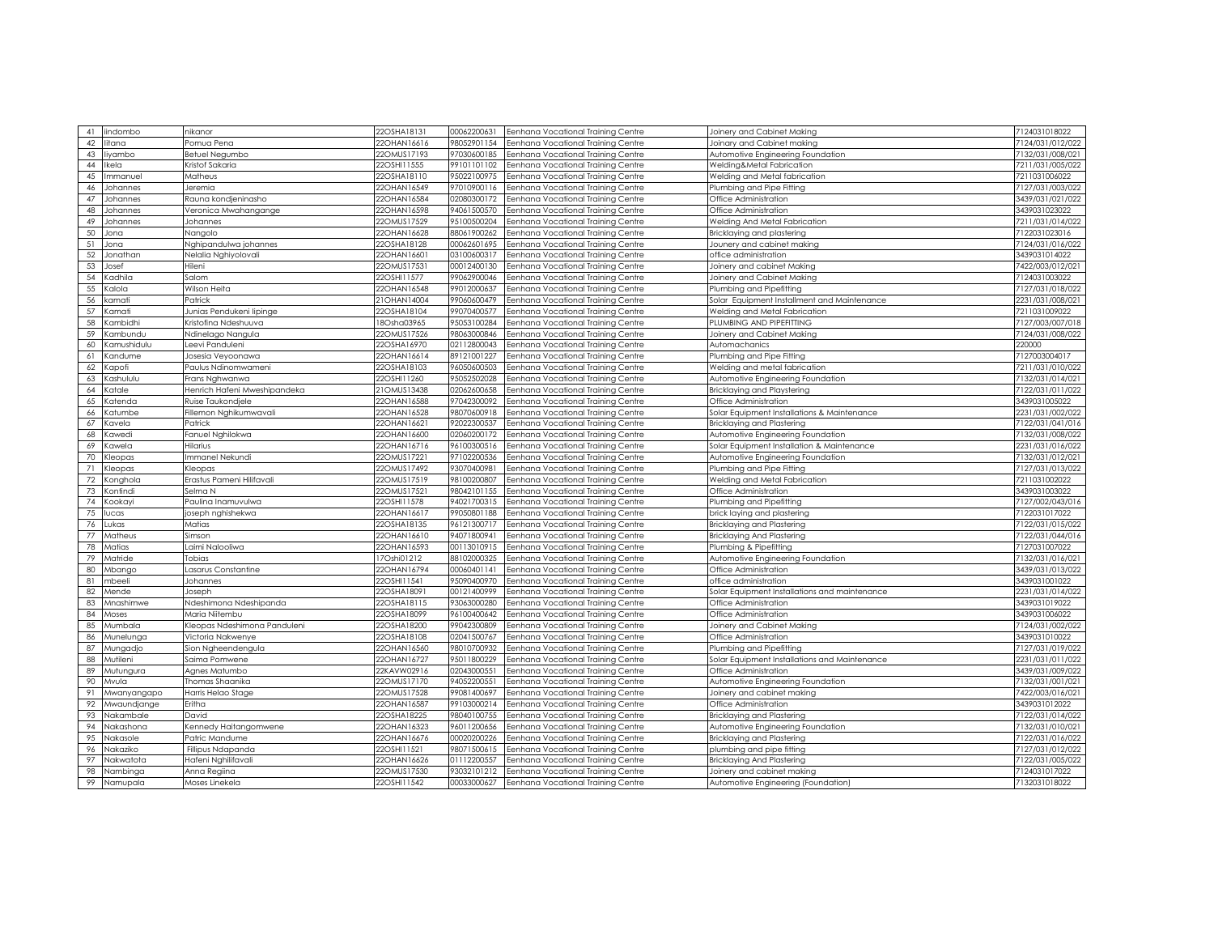| 41   | iindombo                                                                                                                                                                                   | nikanor                      | 22OSHA18131 | 00062200631 | Eenhana Vocational Training Centre | Joinery and Cabinet Making                    | 7124031018022    |
|------|--------------------------------------------------------------------------------------------------------------------------------------------------------------------------------------------|------------------------------|-------------|-------------|------------------------------------|-----------------------------------------------|------------------|
| 42   | litana                                                                                                                                                                                     | Pomua Pena                   | 22OHAN16616 | 98052901154 | Eenhana Vocational Training Centre | Joinary and Cabinet making                    | 7124/031/012/022 |
| 43   | livambo                                                                                                                                                                                    | <b>Betuel Negumbo</b>        | 22OMUS17193 | 97030600185 | Eenhana Vocational Training Centre | Automotive Engineering Foundation             | 7132/031/008/021 |
| 44   | Ikela                                                                                                                                                                                      | Kristof Sakaria              | 22OSHI11555 | 99101101102 | Eenhana Vocational Training Centre | Welding&Metal Fabrication                     | 7211/031/005/022 |
| 45   | Immanuel                                                                                                                                                                                   | Matheus                      | 22OSHA18110 | 95022100975 | Eenhana Vocational Training Centre |                                               | 7211031006022    |
|      |                                                                                                                                                                                            |                              |             |             |                                    | Welding and Metal fabrication                 |                  |
| 46   | Johannes                                                                                                                                                                                   | Jeremia                      | 22OHAN16549 | 97010900116 | Eenhana Vocational Training Centre | Plumbing and Pipe Fitting                     | 7127/031/003/022 |
| 47   | Johannes                                                                                                                                                                                   | Rauna kondjeninasho          | 22OHAN16584 | 02080300172 | Eenhana Vocational Training Centre | Office Administration                         | 3439/031/021/022 |
| 48   | Johannes                                                                                                                                                                                   | Veronica Mwahangange         | 22OHAN16598 | 94061500570 | Eenhana Vocational Training Centre | Office Administration                         | 3439031023022    |
| 49   | Johannes                                                                                                                                                                                   | Johannes                     | 22OMUS17529 | 95100500204 | Eenhana Vocational Training Centre | Welding And Metal Fabrication                 | 7211/031/014/022 |
| 50   | Jona                                                                                                                                                                                       | Nangolo                      | 22OHAN16628 | 88061900262 | Eenhana Vocational Training Centre | Bricklaying and plastering                    | 7122031023016    |
| 51   | Jona                                                                                                                                                                                       | Nghipandulwa johannes        | 22OSHA18128 | 00062601695 | Eenhana Vocational Training Centre | Jounery and cabinet making                    | 7124/031/016/022 |
| 52   | Jonathan                                                                                                                                                                                   | Nelalia Nghiyolovali         | 22OHAN16601 | 03100600317 | Eenhana Vocational Training Centre | office administration                         | 3439031014022    |
| 53   | Josef                                                                                                                                                                                      | Hileni                       | 22OMUS17531 | 00012400130 | Eenhana Vocational Trainina Centre | Joinery and cabinet Making                    | 7422/003/012/021 |
| 54   | Kadhila                                                                                                                                                                                    | Salom                        | 22OSHI11577 | 99062900046 | Eenhana Vocational Training Centre | Joinery and Cabinet Making                    | 7124031003022    |
| 55   | Kalola                                                                                                                                                                                     | Wilson Heita                 | 22OHAN16548 | 99012000637 | Eenhana Vocational Training Centre | Plumbing and Pipefitting                      | 7127/031/018/022 |
| 56   | kamati                                                                                                                                                                                     | <sup>P</sup> atrick          | 10HAN14004  | 99060600479 | Eenhana Vocational Training Centre | Solar Equipment Installment and Maintenance   | 2231/031/008/021 |
| 57   | Kamati                                                                                                                                                                                     | Junias Pendukeni lipinge     | 22OSHA18104 | 99070400577 | Eenhana Vocational Training Centre | Welding and Metal Fabrication                 | 7211031009022    |
| 58   | Kambidhi                                                                                                                                                                                   | Kristofina Ndeshuuva         | 18Osha03965 | 95053100284 | Eenhana Vocational Training Centre | PLUMBING AND PIPEFITTING                      | 7127/003/007/018 |
| 59   | Kambundu                                                                                                                                                                                   | Ndinelago Nangula            | 22OMUS17526 | 98063000846 | Eenhana Vocational Training Centre | Joinery and Cabinet Making                    | 7124/031/008/022 |
| 60   | Kamushidulu                                                                                                                                                                                | Leevi Panduleni              | 22OSHA16970 | 02112800043 | Eenhana Vocational Training Centre | Automachanics                                 | 220000           |
| 61   | Kandume                                                                                                                                                                                    | Josesia Veyoonawa            | 22OHAN16614 | 89121001227 | Eenhana Vocational Training Centre | Plumbing and Pipe Fitting                     | 7127003004017    |
| 62   | Kapofi                                                                                                                                                                                     | Paulus Ndinomwameni          | 22OSHA18103 | 96050600503 | Eenhana Vocational Training Centre | Welding and metal fabrication                 | 7211/031/010/022 |
| 63   | Kashululu                                                                                                                                                                                  | Frans Nghwanwa               | 22OSHI11260 | 95052502028 | Eenhana Vocational Training Centre | Automotive Engineering Foundation             | 7132/031/014/021 |
| 64   | Katale                                                                                                                                                                                     | Henrich Hafeni Mweshipandeka | 21OMUS13438 | 02062600658 | Eenhana Vocational Training Centre | Bricklaying and Playstering                   | 7122/031/011/022 |
| 65   | <atenda< td=""><td>Ruise Taukondjele</td><td>22OHAN16588</td><td>97042300092</td><td>Eenhana Vocational Training Centre</td><td>Office Administration</td><td>3439031005022</td></atenda<> | Ruise Taukondjele            | 22OHAN16588 | 97042300092 | Eenhana Vocational Training Centre | Office Administration                         | 3439031005022    |
| 66   | Katumbe                                                                                                                                                                                    | Fillemon Nghikumwavali       | 22OHAN16528 | 98070600918 | Eenhana Vocational Training Centre | Solar Equipment Installations & Maintenance   | 2231/031/002/022 |
| 67   |                                                                                                                                                                                            |                              | 22OHAN16621 | 92022300537 |                                    |                                               | 7122/031/041/016 |
|      | avela                                                                                                                                                                                      | <sup>o</sup> atrick          |             |             | Eenhana Vocational Training Centre | <b>Bricklaying and Plastering</b>             |                  |
| 68   | Kawedi                                                                                                                                                                                     | Fanuel Nghilokwa             | 22OHAN16600 | 02060200172 | Eenhana Vocational Training Centre | Automotive Engineering Foundation             | 7132/031/008/022 |
| 69   | <b>Cawela</b>                                                                                                                                                                              | Hilarius                     | 22OHAN16716 | 96100300516 | Eenhana Vocational Training Centre | Solar Equipment Installation & Maintenance    | 2231/031/016/022 |
| 70   | Kleopas                                                                                                                                                                                    | Immanel Nekundi              | 22OMUS17221 | 97102200536 | Eenhana Vocational Training Centre | Automotive Engineering Foundation             | 7132/031/012/021 |
| 71   | Kleopas                                                                                                                                                                                    | Kleopas                      | 22OMUS17492 | 93070400981 | Eenhana Vocational Training Centre | Plumbing and Pipe Fitting                     | 7127/031/013/022 |
| 72   | Konghola                                                                                                                                                                                   | Erastus Pameni Hilifavali    | 22OMUS17519 | 98100200807 | Eenhana Vocational Trainina Centre | Welding and Metal Fabrication                 | 7211031002022    |
| 73   | Kontindi                                                                                                                                                                                   | Selma N                      | 22OMUS17521 | 98042101155 | Eenhana Vocational Training Centre | Office Administration                         | 3439031003022    |
| 74   | Kookayi                                                                                                                                                                                    | Paulina Inamuvulwa           | 22OSHI11578 | 94021700315 | Eenhana Vocational Training Centre | Plumbing and Pipefitting                      | 7127/002/043/01  |
| 75   | lucas                                                                                                                                                                                      | oseph nghishekwa             | 22OHAN16617 | 99050801188 | Eenhana Vocational Training Centre | prick laying and plastering                   | 7122031017022    |
| 76   | Lukas                                                                                                                                                                                      | Matias                       | 22OSHA18135 | 96121300717 | Eenhana Vocational Training Centre | Bricklaying and Plastering                    | 7122/031/015/022 |
| 77   | Matheus                                                                                                                                                                                    | Simson                       | 22OHAN16610 | 94071800941 | Eenhana Vocational Training Centre | <b>Bricklaying And Plastering</b>             | 7122/031/044/016 |
| 78   | Matias                                                                                                                                                                                     | Laimi Nalooliwa              | 22OHAN16593 | 00113010915 | Eenhana Vocational Training Centre | Plumbing & Pipefitting                        | 7127031007022    |
| 79   | Matride                                                                                                                                                                                    | Tobias                       | 17Oshi01212 | 88102000325 | Eenhana Vocational Training Centre | Automotive Engineering Foundation             | 7132/031/016/021 |
| 80   | Mbango                                                                                                                                                                                     | Lasarus Constantine          | 22OHAN16794 | 00060401141 | Eenhana Vocational Training Centre | Office Administration                         | 3439/031/013/022 |
| 81   | mbeeli                                                                                                                                                                                     | Johannes                     | 22OSHI11541 | 95090400970 | Eenhana Vocational Training Centre | office administration                         | 3439031001022    |
| 82   | Mende                                                                                                                                                                                      | Joseph                       | 22OSHA18091 | 00121400999 | Eenhana Vocational Training Centre | Solar Equipment Installations and maintenance | 2231/031/014/022 |
| 83   | Mnashimwe                                                                                                                                                                                  | Ndeshimona Ndeshipanda       | 22OSHA18115 | 93063000280 | Eenhana Vocational Training Centre | Office Administration                         | 3439031019022    |
| 84   | Moses                                                                                                                                                                                      | Maria Niitembu               | 22OSHA18099 | 96100400642 | Eenhana Vocational Training Centre | Office Administration                         | 3439031006022    |
| 85   | Mumbala                                                                                                                                                                                    | Kleopas Ndeshimona Panduleni | 22OSHA18200 | 99042300809 | Eenhana Vocational Training Centre | Joinery and Cabinet Making                    | 7124/031/002/022 |
| 86   | Munelunga                                                                                                                                                                                  | Victoria Nakwenye            | 22OSHA18108 | 02041500767 | Eenhana Vocational Training Centre | Office Administration                         | 3439031010022    |
| 87   | Mungadjo                                                                                                                                                                                   | Sion Ngheendengula           | 22OHAN16560 | 98010700932 | Eenhana Vocational Training Centre | Plumbing and Pipefitting                      | 7127/031/019/022 |
| 88   | Mutileni                                                                                                                                                                                   | Saima Pomwene                | 22OHAN16727 | 95011800229 | Eenhana Vocational Training Centre | Solar Equipment Installations and Maintenance | 2231/031/011/022 |
| 89   | Mutungura                                                                                                                                                                                  | Agnes Matumbo                | 22KAVW02916 | 02043000551 | Eenhana Vocational Training Centre | Office Administration                         | 3439/031/009/022 |
| 90   | Mvula                                                                                                                                                                                      | Thomas Shaanika              | 22OMUS17170 | 94052200551 | Eenhana Vocational Training Centre | Automotive Engineering Foundation             | 7132/031/001/021 |
| 91   |                                                                                                                                                                                            | Harris Helao Staae           | 22OMUS17528 | 99081400697 |                                    |                                               | 7422/003/016/021 |
|      | Mwanyangapo                                                                                                                                                                                | Eritha                       | 22OHAN16587 | 99103000214 | Eenhana Vocational Trainina Centre | Joinery and cabinet making                    |                  |
| 92   | Mwaundjange                                                                                                                                                                                |                              |             |             | Eenhana Vocational Training Centre | Office Administration                         | 3439031012022    |
| 93   | Nakambale                                                                                                                                                                                  | David                        | 22OSHA18225 | 98040100755 | Eenhana Vocational Training Centre | Bricklaying and Plastering                    | 7122/031/014/022 |
| 94   | Nakashona                                                                                                                                                                                  | Kennedy Haitangomwene        | 22OHAN16323 | 96011200656 | Eenhana Vocational Training Centre | Automotive Engineering Foundation             | 7132/031/010/021 |
| 95   | Nakasole                                                                                                                                                                                   | Patric Mandume               | 22OHAN16676 | 00020200226 | Eenhana Vocational Training Centre | Bricklaying and Plastering                    | 7122/031/016/022 |
| 96   | <b>Nakaziko</b>                                                                                                                                                                            | Fillipus Ndapanda            | 22OSHI11521 | 98071500615 | Eenhana Vocational Training Centre | plumbing and pipe fitting                     | 7127/031/012/022 |
| 97   | Nakwatota                                                                                                                                                                                  | Hafeni Nghilifavali          | 22OHAN16626 | 01112200557 | Eenhana Vocational Training Centre | <b>Bricklaying And Plastering</b>             | 7122/031/005/022 |
| 98   | Nambinga                                                                                                                                                                                   | Anna Reaiina                 | 22OMUS17530 | 93032101212 | Eenhana Vocational Trainina Centre | Joinery and cabinet making                    | 7124031017022    |
| - 99 | Namupala                                                                                                                                                                                   | Moses Linekela               | 22OSHI11542 | 00033000627 | Eenhana Vocational Training Centre | Automotive Engineering (Foundation)           | 7132031018022    |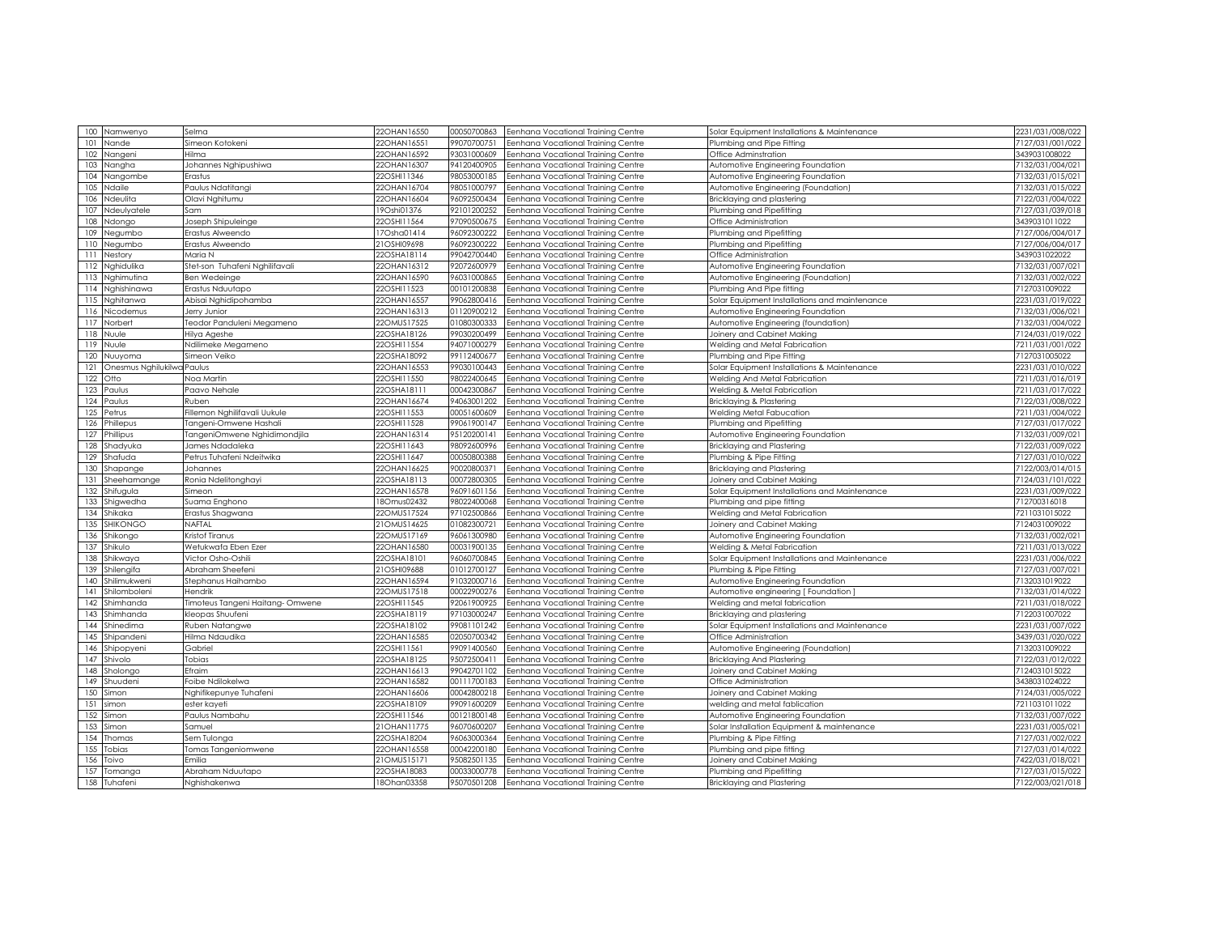| 101<br>Nande<br>Simeon Kotokeni<br>22OHAN16551<br>99070700751<br>7127/031/001/022<br>Eenhana Vocational Training Centre<br>Plumbing and Pipe Fitting<br>22OHAN16592<br>102<br><b>Nangeni</b><br>Hilma<br>93031000609<br>Eenhana Vocational Training Centre<br>Office Adminstration<br>3439031008022<br>103<br>22OHAN16307<br>94120400905<br>7132/031/004/021<br>Nangha<br>Johannes Nghipushiwa<br>Eenhana Vocational Training Centre<br>Automotive Engineering Foundation<br>104<br>22OSHI11346<br>98053000185<br>7132/031/015/021<br>Vangombe<br>Erastus<br>Eenhana Vocational Training Centre<br>Automotive Engineering Foundation<br>105<br>22OHAN16704<br>98051000797<br>7132/031/015/022<br>Ndaile<br>Paulus Ndatitangi<br>Eenhana Vocational Training Centre<br>Automotive Engineering (Foundation)<br>106<br>Olavi Nghitumu<br>22OHAN16604<br>96092500434<br>7122/031/004/022<br><b>Ndeulita</b><br>Bricklaying and plastering<br>Eenhana Vocational Training Centre<br>92101200252<br>107<br>19Oshi01376<br>7127/031/039/018<br>Vdeulyatele<br>Plumbing and Pipefitting<br>iam<br>Eenhana Vocational Training Centre<br>108<br>Joseph Shipuleinge<br>22OSHI11564<br>97090500675<br>Office Administration<br>3439031011022<br>Ndongo<br>Eenhana Vocational Training Centre<br>109<br>17Osha01414<br>96092300222<br>Plumbing and Pipefitting<br>7127/006/004/017<br>Negumbo<br>Erastus Alweendo<br>Eenhana Vocational Training Centre<br>110<br>21OSHI09698<br>96092300222<br>7127/006/004/017<br>Negumbo<br>Erastus Alweendo<br>Plumbing and Pipefitting<br>Eenhana Vocational Training Centre<br>22OSHA18114<br>99042700440<br>111<br>3439031022022<br>Nestory<br>Maria N<br>Eenhana Vocational Training Centre<br>Office Administration<br>112<br>Nghidulikc<br>Stet-son Tuhafeni Nahilifavali<br>22OHAN16312<br>92072600979<br>Eenhana Vocational Trainina Centre<br>Automotive Engineering Foundation<br>7132/031/007/02<br>113<br>22OHAN16590<br>96031000865<br>Nghimutina<br><b>Ben Wedeinge</b><br>Eenhana Vocational Training Centre<br>Automotive Engineering (Foundation)<br>7132/031/002/022<br>114<br>Nghishinawa<br>Erastus Nduutapo<br>22OSHI11523<br>00101200838<br>Plumbing And Pipe fitting<br>7127031009022<br>Eenhana Vocational Training Centre<br>115<br>Nghitanwa<br>Abisai Nghidipohamba<br>22OHAN16557<br>99062800416<br>Eenhana Vocational Training Centre<br>Solar Equipment Installations and maintenance<br>2231/031/019/022<br>116<br>22OHAN16313<br>01120900212<br>7132/031/006/02<br>Nicodemus<br>Jerry Junior<br>Eenhana Vocational Training Centre<br>Automotive Engineering Foundation<br>117<br>Norbert<br>Teodor Panduleni Megameno<br>22OMUS17525<br>01080300333<br>Automotive Engineering (foundation)<br>7132/031/004/022<br>Eenhana Vocational Training Centre<br>99030200499<br>118<br>Nuule<br>Hilya Ageshe<br>22OSHA18126<br>Eenhana Vocational Training Centre<br>Joinery and Cabinet Making<br>7124/031/019/022<br>22OSHI11554<br>94071000279<br>7211/031/001/022<br>119<br>Nuule<br>Ndilimeke Megameno<br>Eenhana Vocational Training Centre<br>Welding and Metal Fabrication<br>120<br>Simeon Veiko<br>22OSHA18092<br>99112400677<br>7127031005022<br>Nuuyoma<br>Eenhana Vocational Training Centre<br>Plumbing and Pipe Fitting<br>Onesmus Nghilukilwa Paulus<br>121<br>22OHAN16553<br>99030100443<br>Eenhana Vocational Training Centre<br>Solar Equipment Installations & Maintenance<br>2231/031/010/022<br>122<br>Otto<br>22OSHI11550<br>98022400645<br>7211/031/016/019<br>Noa Martin<br>Eenhana Vocational Training Centre<br>Welding And Metal Fabrication<br>123<br>Paavo Nehale<br>22OSHA18111<br>00042300867<br>Welding & Metal Fabrication<br>7211/031/017/022<br>aulus<br>Eenhana Vocational Training Centre<br>124<br>22OHAN16674<br>94063001202<br>7122/031/008/022<br>Paulus<br>Ruben<br><b>Bricklaying &amp; Plastering</b><br>Eenhana Vocational Training Centre<br>125<br>00051600609<br>etrus<br>Fillemon Nghilifavali Uukule<br>22OSHI11553<br>Welding Metal Fabucation<br>7211/031/004/022<br>Eenhana Vocational Training Centre<br>99061900147<br>126<br><sup>2</sup> hillepus<br>22OSHI11528<br>7127/031/017/022<br>angeni-Omwene Hashali<br>Plumbing and Pipefitting<br>Eenhana Vocational Training Centre<br>127<br>Phillipus<br>22OHAN16314<br>95120200141<br>7132/031/009/02<br>TangeniOmwene Nghidimondjila<br>Eenhana Vocational Training Centre<br>Automotive Engineering Foundation<br>128<br>22OSHI11643<br>98092600996<br><b>Bricklaying and Plastering</b><br>7122/031/009/022<br>Shadyuka<br>lames Ndadaleka<br>Eenhana Vocational Training Centre<br>129<br>Shafuda<br>22OSHI11647<br>00050800388<br>7127/031/010/022<br>Petrus Tuhafeni Ndeitwika<br>Eenhana Vocational Training Centre<br>Plumbing & Pipe Fitting<br>130<br>22OHAN16625<br>90020800371<br>7122/003/014/015<br>Shapange<br>Johannes<br>Eenhana Vocational Training Centre<br>Bricklaying and Plastering<br>131<br>Sheehamange<br>Ronia Ndelitonghayi<br>22OSHA18113<br>00072800305<br>Eenhana Vocational Training Centre<br>Joinery and Cabinet Making<br>7124/031/101/022<br>132<br>22OHAN16578<br>96091601156<br>Shifugula<br>Simeon<br>Eenhana Vocational Training Centre<br>Solar Equipment Installations and Maintenance<br>2231/031/009/022<br>133<br>18Omus02432<br>98022400068<br>712700316018<br>Shigwedha<br>Suama Enghono<br>Eenhana Vocational Training Centre<br>Plumbing and pipe fitting<br>134<br>Shikaka<br>Erastus Shagwana<br>22OMUS17524<br>97102500866<br>Eenhana Vocational Training Centre<br>Welding and Metal Fabrication<br>7211031015022<br>135<br>SHIKONGO<br>NAFTAL<br>21OMUS14625<br>01082300721<br>7124031009022<br>Eenhana Vocational Training Centre<br>Joinery and Cabinet Making<br>136<br>Shikongo<br>Kristof Tiranus<br>22OMUS17169<br>96061300980<br>7132/031/002/021<br>Eenhana Vocational Training Centre<br>Automotive Engineering Foundation<br>137<br>22OHAN16580<br>Shikulo<br>Wetukwafa Eben Ezer<br>00031900135<br>Eenhana Vocational Training Centre<br>Welding & Metal Fabrication<br>7211/031/013/022<br>138<br>22OSHA18101<br>96060700845<br>2231/031/006/022<br>Shikwaya<br>Victor Osho-Oshili<br>Eenhana Vocational Training Centre<br>Solar Equipment Installations and Maintenance<br>139<br>Shilengifa<br>Abraham Sheefeni<br>21OSHI09688<br>01012700127<br>7127/031/007/021<br>Eenhana Vocational Training Centre<br>Plumbing & Pipe Fitting<br>140<br>Shilimukweni<br>Stephanus Haihambo<br>22OHAN16594<br>91032000716<br>Eenhana Vocational Training Centre<br>Automotive Engineering Foundation<br>7132031019022<br> 4 <br>22OMUS17518<br>00022900276<br>7132/031/014/022<br>Shilomboleni<br>Hendrik<br>Automotive engineering [ Foundation ]<br>Eenhana Vocational Training Centre<br>142<br>22OSHI11545<br>92061900925<br>7211/031/018/022<br>Shimhanda<br>Timoteus Tangeni Haitang-Omwene<br>Welding and metal fabrication<br>Eenhana Vocational Training Centre<br>22OSHA18119<br>97103000247<br>143<br>Shimhanda<br>7122031007022<br>kleopas Shuufeni<br>Eenhana Vocational Training Centre<br>Bricklaying and plastering<br>22OSHA18102<br>144<br>Ruben Natangwe<br>99081101242<br>2231/031/007/022<br>Shinedima<br>Eenhana Vocational Training Centre<br>Solar Equipment Installations and Maintenance<br>145<br>22OHAN16585<br>02050700342<br>3439/031/020/022<br>Hilma Ndaudika<br>Office Administration<br>Shipanden<br>Eenhana Vocational Training Centre<br>146<br>22OSHI11561<br>99091400560<br>7132031009022<br>Gabriel<br>Automotive Engineering (Foundation)<br>Shipopyen<br>Eenhana Vocational Training Centre<br>147<br>22OSHA18125<br>95072500411<br>Shivolo<br>Tobias<br>7122/031/012/022<br>Eenhana Vocational Training Centre<br>Bricklaying And Plastering<br>148<br>Efraim<br>22OHAN16613<br>7124031015022<br>Sholongo<br>99042701102<br>Joinery and Cabinet Making<br>Eenhana Vocational Training Centre<br>149<br>22OHAN16582<br>00111700183<br>Office Administration<br>3438031024022<br>Shuudeni<br>Foibe Ndilokelwa<br>Eenhana Vocational Training Centre<br>150<br>Simon<br>Nghifikepunye Tuhafeni<br>22OHAN16606<br>00042800218<br>Eenhana Vocational Training Centre<br>Joinery and Cabinet Making<br>7124/031/005/022<br>151<br>22OSHA18109<br>simon<br>ester kayeti<br>99091600209<br>Eenhana Vocational Training Centre<br>welding and metal fablication<br>7211031011022<br>152<br>22OSHI11546<br>00121800148<br>7132/031/007/022<br>Simon<br>Paulus Nambahu<br>Eenhana Vocational Training Centre<br>Automotive Engineering Foundation<br>153<br>Simon<br>21OHAN11775<br>96070600207<br>Solar Installation Equipment & maintenance<br>2231/031/005/021<br>Samuel<br>Eenhana Vocational Training Centre<br>154<br>22OSHA18204<br>96063000364<br>7127/031/002/022<br><b>Thomas</b><br>Sem Tulonga<br>Eenhana Vocational Training Centre<br>Plumbing & Pipe Fitting<br>155<br>Tobias<br>22OHAN16558<br>00042200180<br>7127/031/014/022<br>Tomas Tangeniomwene<br>Eenhana Vocational Training Centre<br>Plumbing and pipe fitting<br>156<br>Toivo<br>Emilia<br>21OMUS15171<br>95082501135<br>Eenhana Vocational Training Centre<br>Joinery and Cabinet Making<br>7422/031/018/021<br>7127/031/015/022<br>157<br>Tomanga<br>Abraham Nduutapo<br>22OSHA18083<br>00033000778<br>Eenhana Vocational Training Centre<br>Plumbing and Pipefitting<br>158 Tuhafeni | 100 Namwenyo | Selma        | 22OHAN16550 | 00050700863 | Eenhana Vocational Training Centre | Solar Equipment Installations & Maintenance | 2231/031/008/022 |
|---------------------------------------------------------------------------------------------------------------------------------------------------------------------------------------------------------------------------------------------------------------------------------------------------------------------------------------------------------------------------------------------------------------------------------------------------------------------------------------------------------------------------------------------------------------------------------------------------------------------------------------------------------------------------------------------------------------------------------------------------------------------------------------------------------------------------------------------------------------------------------------------------------------------------------------------------------------------------------------------------------------------------------------------------------------------------------------------------------------------------------------------------------------------------------------------------------------------------------------------------------------------------------------------------------------------------------------------------------------------------------------------------------------------------------------------------------------------------------------------------------------------------------------------------------------------------------------------------------------------------------------------------------------------------------------------------------------------------------------------------------------------------------------------------------------------------------------------------------------------------------------------------------------------------------------------------------------------------------------------------------------------------------------------------------------------------------------------------------------------------------------------------------------------------------------------------------------------------------------------------------------------------------------------------------------------------------------------------------------------------------------------------------------------------------------------------------------------------------------------------------------------------------------------------------------------------------------------------------------------------------------------------------------------------------------------------------------------------------------------------------------------------------------------------------------------------------------------------------------------------------------------------------------------------------------------------------------------------------------------------------------------------------------------------------------------------------------------------------------------------------------------------------------------------------------------------------------------------------------------------------------------------------------------------------------------------------------------------------------------------------------------------------------------------------------------------------------------------------------------------------------------------------------------------------------------------------------------------------------------------------------------------------------------------------------------------------------------------------------------------------------------------------------------------------------------------------------------------------------------------------------------------------------------------------------------------------------------------------------------------------------------------------------------------------------------------------------------------------------------------------------------------------------------------------------------------------------------------------------------------------------------------------------------------------------------------------------------------------------------------------------------------------------------------------------------------------------------------------------------------------------------------------------------------------------------------------------------------------------------------------------------------------------------------------------------------------------------------------------------------------------------------------------------------------------------------------------------------------------------------------------------------------------------------------------------------------------------------------------------------------------------------------------------------------------------------------------------------------------------------------------------------------------------------------------------------------------------------------------------------------------------------------------------------------------------------------------------------------------------------------------------------------------------------------------------------------------------------------------------------------------------------------------------------------------------------------------------------------------------------------------------------------------------------------------------------------------------------------------------------------------------------------------------------------------------------------------------------------------------------------------------------------------------------------------------------------------------------------------------------------------------------------------------------------------------------------------------------------------------------------------------------------------------------------------------------------------------------------------------------------------------------------------------------------------------------------------------------------------------------------------------------------------------------------------------------------------------------------------------------------------------------------------------------------------------------------------------------------------------------------------------------------------------------------------------------------------------------------------------------------------------------------------------------------------------------------------------------------------------------------------------------------------------------------------------------------------------------------------------------------------------------------------------------------------------------------------------------------------------------------------------------------------------------------------------------------------------------------------------------------------------------------------------------------------------------------------------------------------------------------------------------------------------------------------------------------------------------------------------------------------------------------------------------------------------------------------------------------------------------------------------------------------------------------------------------------------------------------------------------------------------------------------------------------------------------------------------------------------------------------------------------------------------------------------------------------------------------------------------------------------------------------------------------------------------------------------------------------------------------------------------------------------------------------------------------------------------------------------------------------------------------------------------------------------------------------------------------------------------------------------------------------------------------------------------------------------------------------------------------------------------------------------------------------------------------------------------------------------------------------------------------------------------------------------------------------------------------------------------------------------------------------------------------------------------------------------------------------------------------------------------------------------------------------------------------------------------------------------------------------------------------------------------------------------------------------------------------------------------------------------------------------------------------------------------------------------------------------------------------------------------------------------------------------------------------------------------------------------------------------------------------------------------|--------------|--------------|-------------|-------------|------------------------------------|---------------------------------------------|------------------|
|                                                                                                                                                                                                                                                                                                                                                                                                                                                                                                                                                                                                                                                                                                                                                                                                                                                                                                                                                                                                                                                                                                                                                                                                                                                                                                                                                                                                                                                                                                                                                                                                                                                                                                                                                                                                                                                                                                                                                                                                                                                                                                                                                                                                                                                                                                                                                                                                                                                                                                                                                                                                                                                                                                                                                                                                                                                                                                                                                                                                                                                                                                                                                                                                                                                                                                                                                                                                                                                                                                                                                                                                                                                                                                                                                                                                                                                                                                                                                                                                                                                                                                                                                                                                                                                                                                                                                                                                                                                                                                                                                                                                                                                                                                                                                                                                                                                                                                                                                                                                                                                                                                                                                                                                                                                                                                                                                                                                                                                                                                                                                                                                                                                                                                                                                                                                                                                                                                                                                                                                                                                                                                                                                                                                                                                                                                                                                                                                                                                                                                                                                                                                                                                                                                                                                                                                                                                                                                                                                                                                                                                                                                                                                                                                                                                                                                                                                                                                                                                                                                                                                                                                                                                                                                                                                                                                                                                                                                                                                                                                                                                                                                                                                                                                                                                                                                                                                                                                                                                                                                                                                                                                                                                                                                                                                                                                                                                                                                                                                                                                                                                                                                                                                                                                                                                                                                                                                                                                                     |              |              |             |             |                                    |                                             |                  |
|                                                                                                                                                                                                                                                                                                                                                                                                                                                                                                                                                                                                                                                                                                                                                                                                                                                                                                                                                                                                                                                                                                                                                                                                                                                                                                                                                                                                                                                                                                                                                                                                                                                                                                                                                                                                                                                                                                                                                                                                                                                                                                                                                                                                                                                                                                                                                                                                                                                                                                                                                                                                                                                                                                                                                                                                                                                                                                                                                                                                                                                                                                                                                                                                                                                                                                                                                                                                                                                                                                                                                                                                                                                                                                                                                                                                                                                                                                                                                                                                                                                                                                                                                                                                                                                                                                                                                                                                                                                                                                                                                                                                                                                                                                                                                                                                                                                                                                                                                                                                                                                                                                                                                                                                                                                                                                                                                                                                                                                                                                                                                                                                                                                                                                                                                                                                                                                                                                                                                                                                                                                                                                                                                                                                                                                                                                                                                                                                                                                                                                                                                                                                                                                                                                                                                                                                                                                                                                                                                                                                                                                                                                                                                                                                                                                                                                                                                                                                                                                                                                                                                                                                                                                                                                                                                                                                                                                                                                                                                                                                                                                                                                                                                                                                                                                                                                                                                                                                                                                                                                                                                                                                                                                                                                                                                                                                                                                                                                                                                                                                                                                                                                                                                                                                                                                                                                                                                                                                                     |              |              |             |             |                                    |                                             |                  |
|                                                                                                                                                                                                                                                                                                                                                                                                                                                                                                                                                                                                                                                                                                                                                                                                                                                                                                                                                                                                                                                                                                                                                                                                                                                                                                                                                                                                                                                                                                                                                                                                                                                                                                                                                                                                                                                                                                                                                                                                                                                                                                                                                                                                                                                                                                                                                                                                                                                                                                                                                                                                                                                                                                                                                                                                                                                                                                                                                                                                                                                                                                                                                                                                                                                                                                                                                                                                                                                                                                                                                                                                                                                                                                                                                                                                                                                                                                                                                                                                                                                                                                                                                                                                                                                                                                                                                                                                                                                                                                                                                                                                                                                                                                                                                                                                                                                                                                                                                                                                                                                                                                                                                                                                                                                                                                                                                                                                                                                                                                                                                                                                                                                                                                                                                                                                                                                                                                                                                                                                                                                                                                                                                                                                                                                                                                                                                                                                                                                                                                                                                                                                                                                                                                                                                                                                                                                                                                                                                                                                                                                                                                                                                                                                                                                                                                                                                                                                                                                                                                                                                                                                                                                                                                                                                                                                                                                                                                                                                                                                                                                                                                                                                                                                                                                                                                                                                                                                                                                                                                                                                                                                                                                                                                                                                                                                                                                                                                                                                                                                                                                                                                                                                                                                                                                                                                                                                                                                                     |              |              |             |             |                                    |                                             |                  |
|                                                                                                                                                                                                                                                                                                                                                                                                                                                                                                                                                                                                                                                                                                                                                                                                                                                                                                                                                                                                                                                                                                                                                                                                                                                                                                                                                                                                                                                                                                                                                                                                                                                                                                                                                                                                                                                                                                                                                                                                                                                                                                                                                                                                                                                                                                                                                                                                                                                                                                                                                                                                                                                                                                                                                                                                                                                                                                                                                                                                                                                                                                                                                                                                                                                                                                                                                                                                                                                                                                                                                                                                                                                                                                                                                                                                                                                                                                                                                                                                                                                                                                                                                                                                                                                                                                                                                                                                                                                                                                                                                                                                                                                                                                                                                                                                                                                                                                                                                                                                                                                                                                                                                                                                                                                                                                                                                                                                                                                                                                                                                                                                                                                                                                                                                                                                                                                                                                                                                                                                                                                                                                                                                                                                                                                                                                                                                                                                                                                                                                                                                                                                                                                                                                                                                                                                                                                                                                                                                                                                                                                                                                                                                                                                                                                                                                                                                                                                                                                                                                                                                                                                                                                                                                                                                                                                                                                                                                                                                                                                                                                                                                                                                                                                                                                                                                                                                                                                                                                                                                                                                                                                                                                                                                                                                                                                                                                                                                                                                                                                                                                                                                                                                                                                                                                                                                                                                                                                                     |              |              |             |             |                                    |                                             |                  |
|                                                                                                                                                                                                                                                                                                                                                                                                                                                                                                                                                                                                                                                                                                                                                                                                                                                                                                                                                                                                                                                                                                                                                                                                                                                                                                                                                                                                                                                                                                                                                                                                                                                                                                                                                                                                                                                                                                                                                                                                                                                                                                                                                                                                                                                                                                                                                                                                                                                                                                                                                                                                                                                                                                                                                                                                                                                                                                                                                                                                                                                                                                                                                                                                                                                                                                                                                                                                                                                                                                                                                                                                                                                                                                                                                                                                                                                                                                                                                                                                                                                                                                                                                                                                                                                                                                                                                                                                                                                                                                                                                                                                                                                                                                                                                                                                                                                                                                                                                                                                                                                                                                                                                                                                                                                                                                                                                                                                                                                                                                                                                                                                                                                                                                                                                                                                                                                                                                                                                                                                                                                                                                                                                                                                                                                                                                                                                                                                                                                                                                                                                                                                                                                                                                                                                                                                                                                                                                                                                                                                                                                                                                                                                                                                                                                                                                                                                                                                                                                                                                                                                                                                                                                                                                                                                                                                                                                                                                                                                                                                                                                                                                                                                                                                                                                                                                                                                                                                                                                                                                                                                                                                                                                                                                                                                                                                                                                                                                                                                                                                                                                                                                                                                                                                                                                                                                                                                                                                                     |              |              |             |             |                                    |                                             |                  |
|                                                                                                                                                                                                                                                                                                                                                                                                                                                                                                                                                                                                                                                                                                                                                                                                                                                                                                                                                                                                                                                                                                                                                                                                                                                                                                                                                                                                                                                                                                                                                                                                                                                                                                                                                                                                                                                                                                                                                                                                                                                                                                                                                                                                                                                                                                                                                                                                                                                                                                                                                                                                                                                                                                                                                                                                                                                                                                                                                                                                                                                                                                                                                                                                                                                                                                                                                                                                                                                                                                                                                                                                                                                                                                                                                                                                                                                                                                                                                                                                                                                                                                                                                                                                                                                                                                                                                                                                                                                                                                                                                                                                                                                                                                                                                                                                                                                                                                                                                                                                                                                                                                                                                                                                                                                                                                                                                                                                                                                                                                                                                                                                                                                                                                                                                                                                                                                                                                                                                                                                                                                                                                                                                                                                                                                                                                                                                                                                                                                                                                                                                                                                                                                                                                                                                                                                                                                                                                                                                                                                                                                                                                                                                                                                                                                                                                                                                                                                                                                                                                                                                                                                                                                                                                                                                                                                                                                                                                                                                                                                                                                                                                                                                                                                                                                                                                                                                                                                                                                                                                                                                                                                                                                                                                                                                                                                                                                                                                                                                                                                                                                                                                                                                                                                                                                                                                                                                                                                                     |              |              |             |             |                                    |                                             |                  |
|                                                                                                                                                                                                                                                                                                                                                                                                                                                                                                                                                                                                                                                                                                                                                                                                                                                                                                                                                                                                                                                                                                                                                                                                                                                                                                                                                                                                                                                                                                                                                                                                                                                                                                                                                                                                                                                                                                                                                                                                                                                                                                                                                                                                                                                                                                                                                                                                                                                                                                                                                                                                                                                                                                                                                                                                                                                                                                                                                                                                                                                                                                                                                                                                                                                                                                                                                                                                                                                                                                                                                                                                                                                                                                                                                                                                                                                                                                                                                                                                                                                                                                                                                                                                                                                                                                                                                                                                                                                                                                                                                                                                                                                                                                                                                                                                                                                                                                                                                                                                                                                                                                                                                                                                                                                                                                                                                                                                                                                                                                                                                                                                                                                                                                                                                                                                                                                                                                                                                                                                                                                                                                                                                                                                                                                                                                                                                                                                                                                                                                                                                                                                                                                                                                                                                                                                                                                                                                                                                                                                                                                                                                                                                                                                                                                                                                                                                                                                                                                                                                                                                                                                                                                                                                                                                                                                                                                                                                                                                                                                                                                                                                                                                                                                                                                                                                                                                                                                                                                                                                                                                                                                                                                                                                                                                                                                                                                                                                                                                                                                                                                                                                                                                                                                                                                                                                                                                                                                                     |              |              |             |             |                                    |                                             |                  |
|                                                                                                                                                                                                                                                                                                                                                                                                                                                                                                                                                                                                                                                                                                                                                                                                                                                                                                                                                                                                                                                                                                                                                                                                                                                                                                                                                                                                                                                                                                                                                                                                                                                                                                                                                                                                                                                                                                                                                                                                                                                                                                                                                                                                                                                                                                                                                                                                                                                                                                                                                                                                                                                                                                                                                                                                                                                                                                                                                                                                                                                                                                                                                                                                                                                                                                                                                                                                                                                                                                                                                                                                                                                                                                                                                                                                                                                                                                                                                                                                                                                                                                                                                                                                                                                                                                                                                                                                                                                                                                                                                                                                                                                                                                                                                                                                                                                                                                                                                                                                                                                                                                                                                                                                                                                                                                                                                                                                                                                                                                                                                                                                                                                                                                                                                                                                                                                                                                                                                                                                                                                                                                                                                                                                                                                                                                                                                                                                                                                                                                                                                                                                                                                                                                                                                                                                                                                                                                                                                                                                                                                                                                                                                                                                                                                                                                                                                                                                                                                                                                                                                                                                                                                                                                                                                                                                                                                                                                                                                                                                                                                                                                                                                                                                                                                                                                                                                                                                                                                                                                                                                                                                                                                                                                                                                                                                                                                                                                                                                                                                                                                                                                                                                                                                                                                                                                                                                                                                                     |              |              |             |             |                                    |                                             |                  |
|                                                                                                                                                                                                                                                                                                                                                                                                                                                                                                                                                                                                                                                                                                                                                                                                                                                                                                                                                                                                                                                                                                                                                                                                                                                                                                                                                                                                                                                                                                                                                                                                                                                                                                                                                                                                                                                                                                                                                                                                                                                                                                                                                                                                                                                                                                                                                                                                                                                                                                                                                                                                                                                                                                                                                                                                                                                                                                                                                                                                                                                                                                                                                                                                                                                                                                                                                                                                                                                                                                                                                                                                                                                                                                                                                                                                                                                                                                                                                                                                                                                                                                                                                                                                                                                                                                                                                                                                                                                                                                                                                                                                                                                                                                                                                                                                                                                                                                                                                                                                                                                                                                                                                                                                                                                                                                                                                                                                                                                                                                                                                                                                                                                                                                                                                                                                                                                                                                                                                                                                                                                                                                                                                                                                                                                                                                                                                                                                                                                                                                                                                                                                                                                                                                                                                                                                                                                                                                                                                                                                                                                                                                                                                                                                                                                                                                                                                                                                                                                                                                                                                                                                                                                                                                                                                                                                                                                                                                                                                                                                                                                                                                                                                                                                                                                                                                                                                                                                                                                                                                                                                                                                                                                                                                                                                                                                                                                                                                                                                                                                                                                                                                                                                                                                                                                                                                                                                                                                                     |              |              |             |             |                                    |                                             |                  |
|                                                                                                                                                                                                                                                                                                                                                                                                                                                                                                                                                                                                                                                                                                                                                                                                                                                                                                                                                                                                                                                                                                                                                                                                                                                                                                                                                                                                                                                                                                                                                                                                                                                                                                                                                                                                                                                                                                                                                                                                                                                                                                                                                                                                                                                                                                                                                                                                                                                                                                                                                                                                                                                                                                                                                                                                                                                                                                                                                                                                                                                                                                                                                                                                                                                                                                                                                                                                                                                                                                                                                                                                                                                                                                                                                                                                                                                                                                                                                                                                                                                                                                                                                                                                                                                                                                                                                                                                                                                                                                                                                                                                                                                                                                                                                                                                                                                                                                                                                                                                                                                                                                                                                                                                                                                                                                                                                                                                                                                                                                                                                                                                                                                                                                                                                                                                                                                                                                                                                                                                                                                                                                                                                                                                                                                                                                                                                                                                                                                                                                                                                                                                                                                                                                                                                                                                                                                                                                                                                                                                                                                                                                                                                                                                                                                                                                                                                                                                                                                                                                                                                                                                                                                                                                                                                                                                                                                                                                                                                                                                                                                                                                                                                                                                                                                                                                                                                                                                                                                                                                                                                                                                                                                                                                                                                                                                                                                                                                                                                                                                                                                                                                                                                                                                                                                                                                                                                                                                                     |              |              |             |             |                                    |                                             |                  |
|                                                                                                                                                                                                                                                                                                                                                                                                                                                                                                                                                                                                                                                                                                                                                                                                                                                                                                                                                                                                                                                                                                                                                                                                                                                                                                                                                                                                                                                                                                                                                                                                                                                                                                                                                                                                                                                                                                                                                                                                                                                                                                                                                                                                                                                                                                                                                                                                                                                                                                                                                                                                                                                                                                                                                                                                                                                                                                                                                                                                                                                                                                                                                                                                                                                                                                                                                                                                                                                                                                                                                                                                                                                                                                                                                                                                                                                                                                                                                                                                                                                                                                                                                                                                                                                                                                                                                                                                                                                                                                                                                                                                                                                                                                                                                                                                                                                                                                                                                                                                                                                                                                                                                                                                                                                                                                                                                                                                                                                                                                                                                                                                                                                                                                                                                                                                                                                                                                                                                                                                                                                                                                                                                                                                                                                                                                                                                                                                                                                                                                                                                                                                                                                                                                                                                                                                                                                                                                                                                                                                                                                                                                                                                                                                                                                                                                                                                                                                                                                                                                                                                                                                                                                                                                                                                                                                                                                                                                                                                                                                                                                                                                                                                                                                                                                                                                                                                                                                                                                                                                                                                                                                                                                                                                                                                                                                                                                                                                                                                                                                                                                                                                                                                                                                                                                                                                                                                                                                                     |              |              |             |             |                                    |                                             |                  |
|                                                                                                                                                                                                                                                                                                                                                                                                                                                                                                                                                                                                                                                                                                                                                                                                                                                                                                                                                                                                                                                                                                                                                                                                                                                                                                                                                                                                                                                                                                                                                                                                                                                                                                                                                                                                                                                                                                                                                                                                                                                                                                                                                                                                                                                                                                                                                                                                                                                                                                                                                                                                                                                                                                                                                                                                                                                                                                                                                                                                                                                                                                                                                                                                                                                                                                                                                                                                                                                                                                                                                                                                                                                                                                                                                                                                                                                                                                                                                                                                                                                                                                                                                                                                                                                                                                                                                                                                                                                                                                                                                                                                                                                                                                                                                                                                                                                                                                                                                                                                                                                                                                                                                                                                                                                                                                                                                                                                                                                                                                                                                                                                                                                                                                                                                                                                                                                                                                                                                                                                                                                                                                                                                                                                                                                                                                                                                                                                                                                                                                                                                                                                                                                                                                                                                                                                                                                                                                                                                                                                                                                                                                                                                                                                                                                                                                                                                                                                                                                                                                                                                                                                                                                                                                                                                                                                                                                                                                                                                                                                                                                                                                                                                                                                                                                                                                                                                                                                                                                                                                                                                                                                                                                                                                                                                                                                                                                                                                                                                                                                                                                                                                                                                                                                                                                                                                                                                                                                                     |              |              |             |             |                                    |                                             |                  |
|                                                                                                                                                                                                                                                                                                                                                                                                                                                                                                                                                                                                                                                                                                                                                                                                                                                                                                                                                                                                                                                                                                                                                                                                                                                                                                                                                                                                                                                                                                                                                                                                                                                                                                                                                                                                                                                                                                                                                                                                                                                                                                                                                                                                                                                                                                                                                                                                                                                                                                                                                                                                                                                                                                                                                                                                                                                                                                                                                                                                                                                                                                                                                                                                                                                                                                                                                                                                                                                                                                                                                                                                                                                                                                                                                                                                                                                                                                                                                                                                                                                                                                                                                                                                                                                                                                                                                                                                                                                                                                                                                                                                                                                                                                                                                                                                                                                                                                                                                                                                                                                                                                                                                                                                                                                                                                                                                                                                                                                                                                                                                                                                                                                                                                                                                                                                                                                                                                                                                                                                                                                                                                                                                                                                                                                                                                                                                                                                                                                                                                                                                                                                                                                                                                                                                                                                                                                                                                                                                                                                                                                                                                                                                                                                                                                                                                                                                                                                                                                                                                                                                                                                                                                                                                                                                                                                                                                                                                                                                                                                                                                                                                                                                                                                                                                                                                                                                                                                                                                                                                                                                                                                                                                                                                                                                                                                                                                                                                                                                                                                                                                                                                                                                                                                                                                                                                                                                                                                                     |              |              |             |             |                                    |                                             |                  |
|                                                                                                                                                                                                                                                                                                                                                                                                                                                                                                                                                                                                                                                                                                                                                                                                                                                                                                                                                                                                                                                                                                                                                                                                                                                                                                                                                                                                                                                                                                                                                                                                                                                                                                                                                                                                                                                                                                                                                                                                                                                                                                                                                                                                                                                                                                                                                                                                                                                                                                                                                                                                                                                                                                                                                                                                                                                                                                                                                                                                                                                                                                                                                                                                                                                                                                                                                                                                                                                                                                                                                                                                                                                                                                                                                                                                                                                                                                                                                                                                                                                                                                                                                                                                                                                                                                                                                                                                                                                                                                                                                                                                                                                                                                                                                                                                                                                                                                                                                                                                                                                                                                                                                                                                                                                                                                                                                                                                                                                                                                                                                                                                                                                                                                                                                                                                                                                                                                                                                                                                                                                                                                                                                                                                                                                                                                                                                                                                                                                                                                                                                                                                                                                                                                                                                                                                                                                                                                                                                                                                                                                                                                                                                                                                                                                                                                                                                                                                                                                                                                                                                                                                                                                                                                                                                                                                                                                                                                                                                                                                                                                                                                                                                                                                                                                                                                                                                                                                                                                                                                                                                                                                                                                                                                                                                                                                                                                                                                                                                                                                                                                                                                                                                                                                                                                                                                                                                                                                                     |              |              |             |             |                                    |                                             |                  |
|                                                                                                                                                                                                                                                                                                                                                                                                                                                                                                                                                                                                                                                                                                                                                                                                                                                                                                                                                                                                                                                                                                                                                                                                                                                                                                                                                                                                                                                                                                                                                                                                                                                                                                                                                                                                                                                                                                                                                                                                                                                                                                                                                                                                                                                                                                                                                                                                                                                                                                                                                                                                                                                                                                                                                                                                                                                                                                                                                                                                                                                                                                                                                                                                                                                                                                                                                                                                                                                                                                                                                                                                                                                                                                                                                                                                                                                                                                                                                                                                                                                                                                                                                                                                                                                                                                                                                                                                                                                                                                                                                                                                                                                                                                                                                                                                                                                                                                                                                                                                                                                                                                                                                                                                                                                                                                                                                                                                                                                                                                                                                                                                                                                                                                                                                                                                                                                                                                                                                                                                                                                                                                                                                                                                                                                                                                                                                                                                                                                                                                                                                                                                                                                                                                                                                                                                                                                                                                                                                                                                                                                                                                                                                                                                                                                                                                                                                                                                                                                                                                                                                                                                                                                                                                                                                                                                                                                                                                                                                                                                                                                                                                                                                                                                                                                                                                                                                                                                                                                                                                                                                                                                                                                                                                                                                                                                                                                                                                                                                                                                                                                                                                                                                                                                                                                                                                                                                                                                                     |              |              |             |             |                                    |                                             |                  |
|                                                                                                                                                                                                                                                                                                                                                                                                                                                                                                                                                                                                                                                                                                                                                                                                                                                                                                                                                                                                                                                                                                                                                                                                                                                                                                                                                                                                                                                                                                                                                                                                                                                                                                                                                                                                                                                                                                                                                                                                                                                                                                                                                                                                                                                                                                                                                                                                                                                                                                                                                                                                                                                                                                                                                                                                                                                                                                                                                                                                                                                                                                                                                                                                                                                                                                                                                                                                                                                                                                                                                                                                                                                                                                                                                                                                                                                                                                                                                                                                                                                                                                                                                                                                                                                                                                                                                                                                                                                                                                                                                                                                                                                                                                                                                                                                                                                                                                                                                                                                                                                                                                                                                                                                                                                                                                                                                                                                                                                                                                                                                                                                                                                                                                                                                                                                                                                                                                                                                                                                                                                                                                                                                                                                                                                                                                                                                                                                                                                                                                                                                                                                                                                                                                                                                                                                                                                                                                                                                                                                                                                                                                                                                                                                                                                                                                                                                                                                                                                                                                                                                                                                                                                                                                                                                                                                                                                                                                                                                                                                                                                                                                                                                                                                                                                                                                                                                                                                                                                                                                                                                                                                                                                                                                                                                                                                                                                                                                                                                                                                                                                                                                                                                                                                                                                                                                                                                                                                                     |              |              |             |             |                                    |                                             |                  |
|                                                                                                                                                                                                                                                                                                                                                                                                                                                                                                                                                                                                                                                                                                                                                                                                                                                                                                                                                                                                                                                                                                                                                                                                                                                                                                                                                                                                                                                                                                                                                                                                                                                                                                                                                                                                                                                                                                                                                                                                                                                                                                                                                                                                                                                                                                                                                                                                                                                                                                                                                                                                                                                                                                                                                                                                                                                                                                                                                                                                                                                                                                                                                                                                                                                                                                                                                                                                                                                                                                                                                                                                                                                                                                                                                                                                                                                                                                                                                                                                                                                                                                                                                                                                                                                                                                                                                                                                                                                                                                                                                                                                                                                                                                                                                                                                                                                                                                                                                                                                                                                                                                                                                                                                                                                                                                                                                                                                                                                                                                                                                                                                                                                                                                                                                                                                                                                                                                                                                                                                                                                                                                                                                                                                                                                                                                                                                                                                                                                                                                                                                                                                                                                                                                                                                                                                                                                                                                                                                                                                                                                                                                                                                                                                                                                                                                                                                                                                                                                                                                                                                                                                                                                                                                                                                                                                                                                                                                                                                                                                                                                                                                                                                                                                                                                                                                                                                                                                                                                                                                                                                                                                                                                                                                                                                                                                                                                                                                                                                                                                                                                                                                                                                                                                                                                                                                                                                                                                                     |              |              |             |             |                                    |                                             |                  |
|                                                                                                                                                                                                                                                                                                                                                                                                                                                                                                                                                                                                                                                                                                                                                                                                                                                                                                                                                                                                                                                                                                                                                                                                                                                                                                                                                                                                                                                                                                                                                                                                                                                                                                                                                                                                                                                                                                                                                                                                                                                                                                                                                                                                                                                                                                                                                                                                                                                                                                                                                                                                                                                                                                                                                                                                                                                                                                                                                                                                                                                                                                                                                                                                                                                                                                                                                                                                                                                                                                                                                                                                                                                                                                                                                                                                                                                                                                                                                                                                                                                                                                                                                                                                                                                                                                                                                                                                                                                                                                                                                                                                                                                                                                                                                                                                                                                                                                                                                                                                                                                                                                                                                                                                                                                                                                                                                                                                                                                                                                                                                                                                                                                                                                                                                                                                                                                                                                                                                                                                                                                                                                                                                                                                                                                                                                                                                                                                                                                                                                                                                                                                                                                                                                                                                                                                                                                                                                                                                                                                                                                                                                                                                                                                                                                                                                                                                                                                                                                                                                                                                                                                                                                                                                                                                                                                                                                                                                                                                                                                                                                                                                                                                                                                                                                                                                                                                                                                                                                                                                                                                                                                                                                                                                                                                                                                                                                                                                                                                                                                                                                                                                                                                                                                                                                                                                                                                                                                                     |              |              |             |             |                                    |                                             |                  |
|                                                                                                                                                                                                                                                                                                                                                                                                                                                                                                                                                                                                                                                                                                                                                                                                                                                                                                                                                                                                                                                                                                                                                                                                                                                                                                                                                                                                                                                                                                                                                                                                                                                                                                                                                                                                                                                                                                                                                                                                                                                                                                                                                                                                                                                                                                                                                                                                                                                                                                                                                                                                                                                                                                                                                                                                                                                                                                                                                                                                                                                                                                                                                                                                                                                                                                                                                                                                                                                                                                                                                                                                                                                                                                                                                                                                                                                                                                                                                                                                                                                                                                                                                                                                                                                                                                                                                                                                                                                                                                                                                                                                                                                                                                                                                                                                                                                                                                                                                                                                                                                                                                                                                                                                                                                                                                                                                                                                                                                                                                                                                                                                                                                                                                                                                                                                                                                                                                                                                                                                                                                                                                                                                                                                                                                                                                                                                                                                                                                                                                                                                                                                                                                                                                                                                                                                                                                                                                                                                                                                                                                                                                                                                                                                                                                                                                                                                                                                                                                                                                                                                                                                                                                                                                                                                                                                                                                                                                                                                                                                                                                                                                                                                                                                                                                                                                                                                                                                                                                                                                                                                                                                                                                                                                                                                                                                                                                                                                                                                                                                                                                                                                                                                                                                                                                                                                                                                                                                                     |              |              |             |             |                                    |                                             |                  |
|                                                                                                                                                                                                                                                                                                                                                                                                                                                                                                                                                                                                                                                                                                                                                                                                                                                                                                                                                                                                                                                                                                                                                                                                                                                                                                                                                                                                                                                                                                                                                                                                                                                                                                                                                                                                                                                                                                                                                                                                                                                                                                                                                                                                                                                                                                                                                                                                                                                                                                                                                                                                                                                                                                                                                                                                                                                                                                                                                                                                                                                                                                                                                                                                                                                                                                                                                                                                                                                                                                                                                                                                                                                                                                                                                                                                                                                                                                                                                                                                                                                                                                                                                                                                                                                                                                                                                                                                                                                                                                                                                                                                                                                                                                                                                                                                                                                                                                                                                                                                                                                                                                                                                                                                                                                                                                                                                                                                                                                                                                                                                                                                                                                                                                                                                                                                                                                                                                                                                                                                                                                                                                                                                                                                                                                                                                                                                                                                                                                                                                                                                                                                                                                                                                                                                                                                                                                                                                                                                                                                                                                                                                                                                                                                                                                                                                                                                                                                                                                                                                                                                                                                                                                                                                                                                                                                                                                                                                                                                                                                                                                                                                                                                                                                                                                                                                                                                                                                                                                                                                                                                                                                                                                                                                                                                                                                                                                                                                                                                                                                                                                                                                                                                                                                                                                                                                                                                                                                                     |              |              |             |             |                                    |                                             |                  |
|                                                                                                                                                                                                                                                                                                                                                                                                                                                                                                                                                                                                                                                                                                                                                                                                                                                                                                                                                                                                                                                                                                                                                                                                                                                                                                                                                                                                                                                                                                                                                                                                                                                                                                                                                                                                                                                                                                                                                                                                                                                                                                                                                                                                                                                                                                                                                                                                                                                                                                                                                                                                                                                                                                                                                                                                                                                                                                                                                                                                                                                                                                                                                                                                                                                                                                                                                                                                                                                                                                                                                                                                                                                                                                                                                                                                                                                                                                                                                                                                                                                                                                                                                                                                                                                                                                                                                                                                                                                                                                                                                                                                                                                                                                                                                                                                                                                                                                                                                                                                                                                                                                                                                                                                                                                                                                                                                                                                                                                                                                                                                                                                                                                                                                                                                                                                                                                                                                                                                                                                                                                                                                                                                                                                                                                                                                                                                                                                                                                                                                                                                                                                                                                                                                                                                                                                                                                                                                                                                                                                                                                                                                                                                                                                                                                                                                                                                                                                                                                                                                                                                                                                                                                                                                                                                                                                                                                                                                                                                                                                                                                                                                                                                                                                                                                                                                                                                                                                                                                                                                                                                                                                                                                                                                                                                                                                                                                                                                                                                                                                                                                                                                                                                                                                                                                                                                                                                                                                                     |              |              |             |             |                                    |                                             |                  |
|                                                                                                                                                                                                                                                                                                                                                                                                                                                                                                                                                                                                                                                                                                                                                                                                                                                                                                                                                                                                                                                                                                                                                                                                                                                                                                                                                                                                                                                                                                                                                                                                                                                                                                                                                                                                                                                                                                                                                                                                                                                                                                                                                                                                                                                                                                                                                                                                                                                                                                                                                                                                                                                                                                                                                                                                                                                                                                                                                                                                                                                                                                                                                                                                                                                                                                                                                                                                                                                                                                                                                                                                                                                                                                                                                                                                                                                                                                                                                                                                                                                                                                                                                                                                                                                                                                                                                                                                                                                                                                                                                                                                                                                                                                                                                                                                                                                                                                                                                                                                                                                                                                                                                                                                                                                                                                                                                                                                                                                                                                                                                                                                                                                                                                                                                                                                                                                                                                                                                                                                                                                                                                                                                                                                                                                                                                                                                                                                                                                                                                                                                                                                                                                                                                                                                                                                                                                                                                                                                                                                                                                                                                                                                                                                                                                                                                                                                                                                                                                                                                                                                                                                                                                                                                                                                                                                                                                                                                                                                                                                                                                                                                                                                                                                                                                                                                                                                                                                                                                                                                                                                                                                                                                                                                                                                                                                                                                                                                                                                                                                                                                                                                                                                                                                                                                                                                                                                                                                                     |              |              |             |             |                                    |                                             |                  |
|                                                                                                                                                                                                                                                                                                                                                                                                                                                                                                                                                                                                                                                                                                                                                                                                                                                                                                                                                                                                                                                                                                                                                                                                                                                                                                                                                                                                                                                                                                                                                                                                                                                                                                                                                                                                                                                                                                                                                                                                                                                                                                                                                                                                                                                                                                                                                                                                                                                                                                                                                                                                                                                                                                                                                                                                                                                                                                                                                                                                                                                                                                                                                                                                                                                                                                                                                                                                                                                                                                                                                                                                                                                                                                                                                                                                                                                                                                                                                                                                                                                                                                                                                                                                                                                                                                                                                                                                                                                                                                                                                                                                                                                                                                                                                                                                                                                                                                                                                                                                                                                                                                                                                                                                                                                                                                                                                                                                                                                                                                                                                                                                                                                                                                                                                                                                                                                                                                                                                                                                                                                                                                                                                                                                                                                                                                                                                                                                                                                                                                                                                                                                                                                                                                                                                                                                                                                                                                                                                                                                                                                                                                                                                                                                                                                                                                                                                                                                                                                                                                                                                                                                                                                                                                                                                                                                                                                                                                                                                                                                                                                                                                                                                                                                                                                                                                                                                                                                                                                                                                                                                                                                                                                                                                                                                                                                                                                                                                                                                                                                                                                                                                                                                                                                                                                                                                                                                                                                                     |              |              |             |             |                                    |                                             |                  |
|                                                                                                                                                                                                                                                                                                                                                                                                                                                                                                                                                                                                                                                                                                                                                                                                                                                                                                                                                                                                                                                                                                                                                                                                                                                                                                                                                                                                                                                                                                                                                                                                                                                                                                                                                                                                                                                                                                                                                                                                                                                                                                                                                                                                                                                                                                                                                                                                                                                                                                                                                                                                                                                                                                                                                                                                                                                                                                                                                                                                                                                                                                                                                                                                                                                                                                                                                                                                                                                                                                                                                                                                                                                                                                                                                                                                                                                                                                                                                                                                                                                                                                                                                                                                                                                                                                                                                                                                                                                                                                                                                                                                                                                                                                                                                                                                                                                                                                                                                                                                                                                                                                                                                                                                                                                                                                                                                                                                                                                                                                                                                                                                                                                                                                                                                                                                                                                                                                                                                                                                                                                                                                                                                                                                                                                                                                                                                                                                                                                                                                                                                                                                                                                                                                                                                                                                                                                                                                                                                                                                                                                                                                                                                                                                                                                                                                                                                                                                                                                                                                                                                                                                                                                                                                                                                                                                                                                                                                                                                                                                                                                                                                                                                                                                                                                                                                                                                                                                                                                                                                                                                                                                                                                                                                                                                                                                                                                                                                                                                                                                                                                                                                                                                                                                                                                                                                                                                                                                                     |              |              |             |             |                                    |                                             |                  |
|                                                                                                                                                                                                                                                                                                                                                                                                                                                                                                                                                                                                                                                                                                                                                                                                                                                                                                                                                                                                                                                                                                                                                                                                                                                                                                                                                                                                                                                                                                                                                                                                                                                                                                                                                                                                                                                                                                                                                                                                                                                                                                                                                                                                                                                                                                                                                                                                                                                                                                                                                                                                                                                                                                                                                                                                                                                                                                                                                                                                                                                                                                                                                                                                                                                                                                                                                                                                                                                                                                                                                                                                                                                                                                                                                                                                                                                                                                                                                                                                                                                                                                                                                                                                                                                                                                                                                                                                                                                                                                                                                                                                                                                                                                                                                                                                                                                                                                                                                                                                                                                                                                                                                                                                                                                                                                                                                                                                                                                                                                                                                                                                                                                                                                                                                                                                                                                                                                                                                                                                                                                                                                                                                                                                                                                                                                                                                                                                                                                                                                                                                                                                                                                                                                                                                                                                                                                                                                                                                                                                                                                                                                                                                                                                                                                                                                                                                                                                                                                                                                                                                                                                                                                                                                                                                                                                                                                                                                                                                                                                                                                                                                                                                                                                                                                                                                                                                                                                                                                                                                                                                                                                                                                                                                                                                                                                                                                                                                                                                                                                                                                                                                                                                                                                                                                                                                                                                                                                                     |              |              |             |             |                                    |                                             |                  |
|                                                                                                                                                                                                                                                                                                                                                                                                                                                                                                                                                                                                                                                                                                                                                                                                                                                                                                                                                                                                                                                                                                                                                                                                                                                                                                                                                                                                                                                                                                                                                                                                                                                                                                                                                                                                                                                                                                                                                                                                                                                                                                                                                                                                                                                                                                                                                                                                                                                                                                                                                                                                                                                                                                                                                                                                                                                                                                                                                                                                                                                                                                                                                                                                                                                                                                                                                                                                                                                                                                                                                                                                                                                                                                                                                                                                                                                                                                                                                                                                                                                                                                                                                                                                                                                                                                                                                                                                                                                                                                                                                                                                                                                                                                                                                                                                                                                                                                                                                                                                                                                                                                                                                                                                                                                                                                                                                                                                                                                                                                                                                                                                                                                                                                                                                                                                                                                                                                                                                                                                                                                                                                                                                                                                                                                                                                                                                                                                                                                                                                                                                                                                                                                                                                                                                                                                                                                                                                                                                                                                                                                                                                                                                                                                                                                                                                                                                                                                                                                                                                                                                                                                                                                                                                                                                                                                                                                                                                                                                                                                                                                                                                                                                                                                                                                                                                                                                                                                                                                                                                                                                                                                                                                                                                                                                                                                                                                                                                                                                                                                                                                                                                                                                                                                                                                                                                                                                                                                                     |              |              |             |             |                                    |                                             |                  |
|                                                                                                                                                                                                                                                                                                                                                                                                                                                                                                                                                                                                                                                                                                                                                                                                                                                                                                                                                                                                                                                                                                                                                                                                                                                                                                                                                                                                                                                                                                                                                                                                                                                                                                                                                                                                                                                                                                                                                                                                                                                                                                                                                                                                                                                                                                                                                                                                                                                                                                                                                                                                                                                                                                                                                                                                                                                                                                                                                                                                                                                                                                                                                                                                                                                                                                                                                                                                                                                                                                                                                                                                                                                                                                                                                                                                                                                                                                                                                                                                                                                                                                                                                                                                                                                                                                                                                                                                                                                                                                                                                                                                                                                                                                                                                                                                                                                                                                                                                                                                                                                                                                                                                                                                                                                                                                                                                                                                                                                                                                                                                                                                                                                                                                                                                                                                                                                                                                                                                                                                                                                                                                                                                                                                                                                                                                                                                                                                                                                                                                                                                                                                                                                                                                                                                                                                                                                                                                                                                                                                                                                                                                                                                                                                                                                                                                                                                                                                                                                                                                                                                                                                                                                                                                                                                                                                                                                                                                                                                                                                                                                                                                                                                                                                                                                                                                                                                                                                                                                                                                                                                                                                                                                                                                                                                                                                                                                                                                                                                                                                                                                                                                                                                                                                                                                                                                                                                                                                                     |              |              |             |             |                                    |                                             |                  |
|                                                                                                                                                                                                                                                                                                                                                                                                                                                                                                                                                                                                                                                                                                                                                                                                                                                                                                                                                                                                                                                                                                                                                                                                                                                                                                                                                                                                                                                                                                                                                                                                                                                                                                                                                                                                                                                                                                                                                                                                                                                                                                                                                                                                                                                                                                                                                                                                                                                                                                                                                                                                                                                                                                                                                                                                                                                                                                                                                                                                                                                                                                                                                                                                                                                                                                                                                                                                                                                                                                                                                                                                                                                                                                                                                                                                                                                                                                                                                                                                                                                                                                                                                                                                                                                                                                                                                                                                                                                                                                                                                                                                                                                                                                                                                                                                                                                                                                                                                                                                                                                                                                                                                                                                                                                                                                                                                                                                                                                                                                                                                                                                                                                                                                                                                                                                                                                                                                                                                                                                                                                                                                                                                                                                                                                                                                                                                                                                                                                                                                                                                                                                                                                                                                                                                                                                                                                                                                                                                                                                                                                                                                                                                                                                                                                                                                                                                                                                                                                                                                                                                                                                                                                                                                                                                                                                                                                                                                                                                                                                                                                                                                                                                                                                                                                                                                                                                                                                                                                                                                                                                                                                                                                                                                                                                                                                                                                                                                                                                                                                                                                                                                                                                                                                                                                                                                                                                                                                                     |              |              |             |             |                                    |                                             |                  |
|                                                                                                                                                                                                                                                                                                                                                                                                                                                                                                                                                                                                                                                                                                                                                                                                                                                                                                                                                                                                                                                                                                                                                                                                                                                                                                                                                                                                                                                                                                                                                                                                                                                                                                                                                                                                                                                                                                                                                                                                                                                                                                                                                                                                                                                                                                                                                                                                                                                                                                                                                                                                                                                                                                                                                                                                                                                                                                                                                                                                                                                                                                                                                                                                                                                                                                                                                                                                                                                                                                                                                                                                                                                                                                                                                                                                                                                                                                                                                                                                                                                                                                                                                                                                                                                                                                                                                                                                                                                                                                                                                                                                                                                                                                                                                                                                                                                                                                                                                                                                                                                                                                                                                                                                                                                                                                                                                                                                                                                                                                                                                                                                                                                                                                                                                                                                                                                                                                                                                                                                                                                                                                                                                                                                                                                                                                                                                                                                                                                                                                                                                                                                                                                                                                                                                                                                                                                                                                                                                                                                                                                                                                                                                                                                                                                                                                                                                                                                                                                                                                                                                                                                                                                                                                                                                                                                                                                                                                                                                                                                                                                                                                                                                                                                                                                                                                                                                                                                                                                                                                                                                                                                                                                                                                                                                                                                                                                                                                                                                                                                                                                                                                                                                                                                                                                                                                                                                                                                                     |              |              |             |             |                                    |                                             |                  |
|                                                                                                                                                                                                                                                                                                                                                                                                                                                                                                                                                                                                                                                                                                                                                                                                                                                                                                                                                                                                                                                                                                                                                                                                                                                                                                                                                                                                                                                                                                                                                                                                                                                                                                                                                                                                                                                                                                                                                                                                                                                                                                                                                                                                                                                                                                                                                                                                                                                                                                                                                                                                                                                                                                                                                                                                                                                                                                                                                                                                                                                                                                                                                                                                                                                                                                                                                                                                                                                                                                                                                                                                                                                                                                                                                                                                                                                                                                                                                                                                                                                                                                                                                                                                                                                                                                                                                                                                                                                                                                                                                                                                                                                                                                                                                                                                                                                                                                                                                                                                                                                                                                                                                                                                                                                                                                                                                                                                                                                                                                                                                                                                                                                                                                                                                                                                                                                                                                                                                                                                                                                                                                                                                                                                                                                                                                                                                                                                                                                                                                                                                                                                                                                                                                                                                                                                                                                                                                                                                                                                                                                                                                                                                                                                                                                                                                                                                                                                                                                                                                                                                                                                                                                                                                                                                                                                                                                                                                                                                                                                                                                                                                                                                                                                                                                                                                                                                                                                                                                                                                                                                                                                                                                                                                                                                                                                                                                                                                                                                                                                                                                                                                                                                                                                                                                                                                                                                                                                                     |              |              |             |             |                                    |                                             |                  |
|                                                                                                                                                                                                                                                                                                                                                                                                                                                                                                                                                                                                                                                                                                                                                                                                                                                                                                                                                                                                                                                                                                                                                                                                                                                                                                                                                                                                                                                                                                                                                                                                                                                                                                                                                                                                                                                                                                                                                                                                                                                                                                                                                                                                                                                                                                                                                                                                                                                                                                                                                                                                                                                                                                                                                                                                                                                                                                                                                                                                                                                                                                                                                                                                                                                                                                                                                                                                                                                                                                                                                                                                                                                                                                                                                                                                                                                                                                                                                                                                                                                                                                                                                                                                                                                                                                                                                                                                                                                                                                                                                                                                                                                                                                                                                                                                                                                                                                                                                                                                                                                                                                                                                                                                                                                                                                                                                                                                                                                                                                                                                                                                                                                                                                                                                                                                                                                                                                                                                                                                                                                                                                                                                                                                                                                                                                                                                                                                                                                                                                                                                                                                                                                                                                                                                                                                                                                                                                                                                                                                                                                                                                                                                                                                                                                                                                                                                                                                                                                                                                                                                                                                                                                                                                                                                                                                                                                                                                                                                                                                                                                                                                                                                                                                                                                                                                                                                                                                                                                                                                                                                                                                                                                                                                                                                                                                                                                                                                                                                                                                                                                                                                                                                                                                                                                                                                                                                                                                                     |              |              |             |             |                                    |                                             |                  |
|                                                                                                                                                                                                                                                                                                                                                                                                                                                                                                                                                                                                                                                                                                                                                                                                                                                                                                                                                                                                                                                                                                                                                                                                                                                                                                                                                                                                                                                                                                                                                                                                                                                                                                                                                                                                                                                                                                                                                                                                                                                                                                                                                                                                                                                                                                                                                                                                                                                                                                                                                                                                                                                                                                                                                                                                                                                                                                                                                                                                                                                                                                                                                                                                                                                                                                                                                                                                                                                                                                                                                                                                                                                                                                                                                                                                                                                                                                                                                                                                                                                                                                                                                                                                                                                                                                                                                                                                                                                                                                                                                                                                                                                                                                                                                                                                                                                                                                                                                                                                                                                                                                                                                                                                                                                                                                                                                                                                                                                                                                                                                                                                                                                                                                                                                                                                                                                                                                                                                                                                                                                                                                                                                                                                                                                                                                                                                                                                                                                                                                                                                                                                                                                                                                                                                                                                                                                                                                                                                                                                                                                                                                                                                                                                                                                                                                                                                                                                                                                                                                                                                                                                                                                                                                                                                                                                                                                                                                                                                                                                                                                                                                                                                                                                                                                                                                                                                                                                                                                                                                                                                                                                                                                                                                                                                                                                                                                                                                                                                                                                                                                                                                                                                                                                                                                                                                                                                                                                                     |              |              |             |             |                                    |                                             |                  |
|                                                                                                                                                                                                                                                                                                                                                                                                                                                                                                                                                                                                                                                                                                                                                                                                                                                                                                                                                                                                                                                                                                                                                                                                                                                                                                                                                                                                                                                                                                                                                                                                                                                                                                                                                                                                                                                                                                                                                                                                                                                                                                                                                                                                                                                                                                                                                                                                                                                                                                                                                                                                                                                                                                                                                                                                                                                                                                                                                                                                                                                                                                                                                                                                                                                                                                                                                                                                                                                                                                                                                                                                                                                                                                                                                                                                                                                                                                                                                                                                                                                                                                                                                                                                                                                                                                                                                                                                                                                                                                                                                                                                                                                                                                                                                                                                                                                                                                                                                                                                                                                                                                                                                                                                                                                                                                                                                                                                                                                                                                                                                                                                                                                                                                                                                                                                                                                                                                                                                                                                                                                                                                                                                                                                                                                                                                                                                                                                                                                                                                                                                                                                                                                                                                                                                                                                                                                                                                                                                                                                                                                                                                                                                                                                                                                                                                                                                                                                                                                                                                                                                                                                                                                                                                                                                                                                                                                                                                                                                                                                                                                                                                                                                                                                                                                                                                                                                                                                                                                                                                                                                                                                                                                                                                                                                                                                                                                                                                                                                                                                                                                                                                                                                                                                                                                                                                                                                                                                                     |              |              |             |             |                                    |                                             |                  |
|                                                                                                                                                                                                                                                                                                                                                                                                                                                                                                                                                                                                                                                                                                                                                                                                                                                                                                                                                                                                                                                                                                                                                                                                                                                                                                                                                                                                                                                                                                                                                                                                                                                                                                                                                                                                                                                                                                                                                                                                                                                                                                                                                                                                                                                                                                                                                                                                                                                                                                                                                                                                                                                                                                                                                                                                                                                                                                                                                                                                                                                                                                                                                                                                                                                                                                                                                                                                                                                                                                                                                                                                                                                                                                                                                                                                                                                                                                                                                                                                                                                                                                                                                                                                                                                                                                                                                                                                                                                                                                                                                                                                                                                                                                                                                                                                                                                                                                                                                                                                                                                                                                                                                                                                                                                                                                                                                                                                                                                                                                                                                                                                                                                                                                                                                                                                                                                                                                                                                                                                                                                                                                                                                                                                                                                                                                                                                                                                                                                                                                                                                                                                                                                                                                                                                                                                                                                                                                                                                                                                                                                                                                                                                                                                                                                                                                                                                                                                                                                                                                                                                                                                                                                                                                                                                                                                                                                                                                                                                                                                                                                                                                                                                                                                                                                                                                                                                                                                                                                                                                                                                                                                                                                                                                                                                                                                                                                                                                                                                                                                                                                                                                                                                                                                                                                                                                                                                                                                                     |              |              |             |             |                                    |                                             |                  |
|                                                                                                                                                                                                                                                                                                                                                                                                                                                                                                                                                                                                                                                                                                                                                                                                                                                                                                                                                                                                                                                                                                                                                                                                                                                                                                                                                                                                                                                                                                                                                                                                                                                                                                                                                                                                                                                                                                                                                                                                                                                                                                                                                                                                                                                                                                                                                                                                                                                                                                                                                                                                                                                                                                                                                                                                                                                                                                                                                                                                                                                                                                                                                                                                                                                                                                                                                                                                                                                                                                                                                                                                                                                                                                                                                                                                                                                                                                                                                                                                                                                                                                                                                                                                                                                                                                                                                                                                                                                                                                                                                                                                                                                                                                                                                                                                                                                                                                                                                                                                                                                                                                                                                                                                                                                                                                                                                                                                                                                                                                                                                                                                                                                                                                                                                                                                                                                                                                                                                                                                                                                                                                                                                                                                                                                                                                                                                                                                                                                                                                                                                                                                                                                                                                                                                                                                                                                                                                                                                                                                                                                                                                                                                                                                                                                                                                                                                                                                                                                                                                                                                                                                                                                                                                                                                                                                                                                                                                                                                                                                                                                                                                                                                                                                                                                                                                                                                                                                                                                                                                                                                                                                                                                                                                                                                                                                                                                                                                                                                                                                                                                                                                                                                                                                                                                                                                                                                                                                                     |              |              |             |             |                                    |                                             |                  |
|                                                                                                                                                                                                                                                                                                                                                                                                                                                                                                                                                                                                                                                                                                                                                                                                                                                                                                                                                                                                                                                                                                                                                                                                                                                                                                                                                                                                                                                                                                                                                                                                                                                                                                                                                                                                                                                                                                                                                                                                                                                                                                                                                                                                                                                                                                                                                                                                                                                                                                                                                                                                                                                                                                                                                                                                                                                                                                                                                                                                                                                                                                                                                                                                                                                                                                                                                                                                                                                                                                                                                                                                                                                                                                                                                                                                                                                                                                                                                                                                                                                                                                                                                                                                                                                                                                                                                                                                                                                                                                                                                                                                                                                                                                                                                                                                                                                                                                                                                                                                                                                                                                                                                                                                                                                                                                                                                                                                                                                                                                                                                                                                                                                                                                                                                                                                                                                                                                                                                                                                                                                                                                                                                                                                                                                                                                                                                                                                                                                                                                                                                                                                                                                                                                                                                                                                                                                                                                                                                                                                                                                                                                                                                                                                                                                                                                                                                                                                                                                                                                                                                                                                                                                                                                                                                                                                                                                                                                                                                                                                                                                                                                                                                                                                                                                                                                                                                                                                                                                                                                                                                                                                                                                                                                                                                                                                                                                                                                                                                                                                                                                                                                                                                                                                                                                                                                                                                                                                                     |              |              |             |             |                                    |                                             |                  |
|                                                                                                                                                                                                                                                                                                                                                                                                                                                                                                                                                                                                                                                                                                                                                                                                                                                                                                                                                                                                                                                                                                                                                                                                                                                                                                                                                                                                                                                                                                                                                                                                                                                                                                                                                                                                                                                                                                                                                                                                                                                                                                                                                                                                                                                                                                                                                                                                                                                                                                                                                                                                                                                                                                                                                                                                                                                                                                                                                                                                                                                                                                                                                                                                                                                                                                                                                                                                                                                                                                                                                                                                                                                                                                                                                                                                                                                                                                                                                                                                                                                                                                                                                                                                                                                                                                                                                                                                                                                                                                                                                                                                                                                                                                                                                                                                                                                                                                                                                                                                                                                                                                                                                                                                                                                                                                                                                                                                                                                                                                                                                                                                                                                                                                                                                                                                                                                                                                                                                                                                                                                                                                                                                                                                                                                                                                                                                                                                                                                                                                                                                                                                                                                                                                                                                                                                                                                                                                                                                                                                                                                                                                                                                                                                                                                                                                                                                                                                                                                                                                                                                                                                                                                                                                                                                                                                                                                                                                                                                                                                                                                                                                                                                                                                                                                                                                                                                                                                                                                                                                                                                                                                                                                                                                                                                                                                                                                                                                                                                                                                                                                                                                                                                                                                                                                                                                                                                                                                                     |              |              |             |             |                                    |                                             |                  |
|                                                                                                                                                                                                                                                                                                                                                                                                                                                                                                                                                                                                                                                                                                                                                                                                                                                                                                                                                                                                                                                                                                                                                                                                                                                                                                                                                                                                                                                                                                                                                                                                                                                                                                                                                                                                                                                                                                                                                                                                                                                                                                                                                                                                                                                                                                                                                                                                                                                                                                                                                                                                                                                                                                                                                                                                                                                                                                                                                                                                                                                                                                                                                                                                                                                                                                                                                                                                                                                                                                                                                                                                                                                                                                                                                                                                                                                                                                                                                                                                                                                                                                                                                                                                                                                                                                                                                                                                                                                                                                                                                                                                                                                                                                                                                                                                                                                                                                                                                                                                                                                                                                                                                                                                                                                                                                                                                                                                                                                                                                                                                                                                                                                                                                                                                                                                                                                                                                                                                                                                                                                                                                                                                                                                                                                                                                                                                                                                                                                                                                                                                                                                                                                                                                                                                                                                                                                                                                                                                                                                                                                                                                                                                                                                                                                                                                                                                                                                                                                                                                                                                                                                                                                                                                                                                                                                                                                                                                                                                                                                                                                                                                                                                                                                                                                                                                                                                                                                                                                                                                                                                                                                                                                                                                                                                                                                                                                                                                                                                                                                                                                                                                                                                                                                                                                                                                                                                                                                                     |              |              |             |             |                                    |                                             |                  |
|                                                                                                                                                                                                                                                                                                                                                                                                                                                                                                                                                                                                                                                                                                                                                                                                                                                                                                                                                                                                                                                                                                                                                                                                                                                                                                                                                                                                                                                                                                                                                                                                                                                                                                                                                                                                                                                                                                                                                                                                                                                                                                                                                                                                                                                                                                                                                                                                                                                                                                                                                                                                                                                                                                                                                                                                                                                                                                                                                                                                                                                                                                                                                                                                                                                                                                                                                                                                                                                                                                                                                                                                                                                                                                                                                                                                                                                                                                                                                                                                                                                                                                                                                                                                                                                                                                                                                                                                                                                                                                                                                                                                                                                                                                                                                                                                                                                                                                                                                                                                                                                                                                                                                                                                                                                                                                                                                                                                                                                                                                                                                                                                                                                                                                                                                                                                                                                                                                                                                                                                                                                                                                                                                                                                                                                                                                                                                                                                                                                                                                                                                                                                                                                                                                                                                                                                                                                                                                                                                                                                                                                                                                                                                                                                                                                                                                                                                                                                                                                                                                                                                                                                                                                                                                                                                                                                                                                                                                                                                                                                                                                                                                                                                                                                                                                                                                                                                                                                                                                                                                                                                                                                                                                                                                                                                                                                                                                                                                                                                                                                                                                                                                                                                                                                                                                                                                                                                                                                                     |              |              |             |             |                                    |                                             |                  |
|                                                                                                                                                                                                                                                                                                                                                                                                                                                                                                                                                                                                                                                                                                                                                                                                                                                                                                                                                                                                                                                                                                                                                                                                                                                                                                                                                                                                                                                                                                                                                                                                                                                                                                                                                                                                                                                                                                                                                                                                                                                                                                                                                                                                                                                                                                                                                                                                                                                                                                                                                                                                                                                                                                                                                                                                                                                                                                                                                                                                                                                                                                                                                                                                                                                                                                                                                                                                                                                                                                                                                                                                                                                                                                                                                                                                                                                                                                                                                                                                                                                                                                                                                                                                                                                                                                                                                                                                                                                                                                                                                                                                                                                                                                                                                                                                                                                                                                                                                                                                                                                                                                                                                                                                                                                                                                                                                                                                                                                                                                                                                                                                                                                                                                                                                                                                                                                                                                                                                                                                                                                                                                                                                                                                                                                                                                                                                                                                                                                                                                                                                                                                                                                                                                                                                                                                                                                                                                                                                                                                                                                                                                                                                                                                                                                                                                                                                                                                                                                                                                                                                                                                                                                                                                                                                                                                                                                                                                                                                                                                                                                                                                                                                                                                                                                                                                                                                                                                                                                                                                                                                                                                                                                                                                                                                                                                                                                                                                                                                                                                                                                                                                                                                                                                                                                                                                                                                                                                                     |              |              |             |             |                                    |                                             |                  |
|                                                                                                                                                                                                                                                                                                                                                                                                                                                                                                                                                                                                                                                                                                                                                                                                                                                                                                                                                                                                                                                                                                                                                                                                                                                                                                                                                                                                                                                                                                                                                                                                                                                                                                                                                                                                                                                                                                                                                                                                                                                                                                                                                                                                                                                                                                                                                                                                                                                                                                                                                                                                                                                                                                                                                                                                                                                                                                                                                                                                                                                                                                                                                                                                                                                                                                                                                                                                                                                                                                                                                                                                                                                                                                                                                                                                                                                                                                                                                                                                                                                                                                                                                                                                                                                                                                                                                                                                                                                                                                                                                                                                                                                                                                                                                                                                                                                                                                                                                                                                                                                                                                                                                                                                                                                                                                                                                                                                                                                                                                                                                                                                                                                                                                                                                                                                                                                                                                                                                                                                                                                                                                                                                                                                                                                                                                                                                                                                                                                                                                                                                                                                                                                                                                                                                                                                                                                                                                                                                                                                                                                                                                                                                                                                                                                                                                                                                                                                                                                                                                                                                                                                                                                                                                                                                                                                                                                                                                                                                                                                                                                                                                                                                                                                                                                                                                                                                                                                                                                                                                                                                                                                                                                                                                                                                                                                                                                                                                                                                                                                                                                                                                                                                                                                                                                                                                                                                                                                                     |              |              |             |             |                                    |                                             |                  |
|                                                                                                                                                                                                                                                                                                                                                                                                                                                                                                                                                                                                                                                                                                                                                                                                                                                                                                                                                                                                                                                                                                                                                                                                                                                                                                                                                                                                                                                                                                                                                                                                                                                                                                                                                                                                                                                                                                                                                                                                                                                                                                                                                                                                                                                                                                                                                                                                                                                                                                                                                                                                                                                                                                                                                                                                                                                                                                                                                                                                                                                                                                                                                                                                                                                                                                                                                                                                                                                                                                                                                                                                                                                                                                                                                                                                                                                                                                                                                                                                                                                                                                                                                                                                                                                                                                                                                                                                                                                                                                                                                                                                                                                                                                                                                                                                                                                                                                                                                                                                                                                                                                                                                                                                                                                                                                                                                                                                                                                                                                                                                                                                                                                                                                                                                                                                                                                                                                                                                                                                                                                                                                                                                                                                                                                                                                                                                                                                                                                                                                                                                                                                                                                                                                                                                                                                                                                                                                                                                                                                                                                                                                                                                                                                                                                                                                                                                                                                                                                                                                                                                                                                                                                                                                                                                                                                                                                                                                                                                                                                                                                                                                                                                                                                                                                                                                                                                                                                                                                                                                                                                                                                                                                                                                                                                                                                                                                                                                                                                                                                                                                                                                                                                                                                                                                                                                                                                                                                                     |              |              |             |             |                                    |                                             |                  |
|                                                                                                                                                                                                                                                                                                                                                                                                                                                                                                                                                                                                                                                                                                                                                                                                                                                                                                                                                                                                                                                                                                                                                                                                                                                                                                                                                                                                                                                                                                                                                                                                                                                                                                                                                                                                                                                                                                                                                                                                                                                                                                                                                                                                                                                                                                                                                                                                                                                                                                                                                                                                                                                                                                                                                                                                                                                                                                                                                                                                                                                                                                                                                                                                                                                                                                                                                                                                                                                                                                                                                                                                                                                                                                                                                                                                                                                                                                                                                                                                                                                                                                                                                                                                                                                                                                                                                                                                                                                                                                                                                                                                                                                                                                                                                                                                                                                                                                                                                                                                                                                                                                                                                                                                                                                                                                                                                                                                                                                                                                                                                                                                                                                                                                                                                                                                                                                                                                                                                                                                                                                                                                                                                                                                                                                                                                                                                                                                                                                                                                                                                                                                                                                                                                                                                                                                                                                                                                                                                                                                                                                                                                                                                                                                                                                                                                                                                                                                                                                                                                                                                                                                                                                                                                                                                                                                                                                                                                                                                                                                                                                                                                                                                                                                                                                                                                                                                                                                                                                                                                                                                                                                                                                                                                                                                                                                                                                                                                                                                                                                                                                                                                                                                                                                                                                                                                                                                                                                                     |              |              |             |             |                                    |                                             |                  |
|                                                                                                                                                                                                                                                                                                                                                                                                                                                                                                                                                                                                                                                                                                                                                                                                                                                                                                                                                                                                                                                                                                                                                                                                                                                                                                                                                                                                                                                                                                                                                                                                                                                                                                                                                                                                                                                                                                                                                                                                                                                                                                                                                                                                                                                                                                                                                                                                                                                                                                                                                                                                                                                                                                                                                                                                                                                                                                                                                                                                                                                                                                                                                                                                                                                                                                                                                                                                                                                                                                                                                                                                                                                                                                                                                                                                                                                                                                                                                                                                                                                                                                                                                                                                                                                                                                                                                                                                                                                                                                                                                                                                                                                                                                                                                                                                                                                                                                                                                                                                                                                                                                                                                                                                                                                                                                                                                                                                                                                                                                                                                                                                                                                                                                                                                                                                                                                                                                                                                                                                                                                                                                                                                                                                                                                                                                                                                                                                                                                                                                                                                                                                                                                                                                                                                                                                                                                                                                                                                                                                                                                                                                                                                                                                                                                                                                                                                                                                                                                                                                                                                                                                                                                                                                                                                                                                                                                                                                                                                                                                                                                                                                                                                                                                                                                                                                                                                                                                                                                                                                                                                                                                                                                                                                                                                                                                                                                                                                                                                                                                                                                                                                                                                                                                                                                                                                                                                                                                                     |              |              |             |             |                                    |                                             |                  |
|                                                                                                                                                                                                                                                                                                                                                                                                                                                                                                                                                                                                                                                                                                                                                                                                                                                                                                                                                                                                                                                                                                                                                                                                                                                                                                                                                                                                                                                                                                                                                                                                                                                                                                                                                                                                                                                                                                                                                                                                                                                                                                                                                                                                                                                                                                                                                                                                                                                                                                                                                                                                                                                                                                                                                                                                                                                                                                                                                                                                                                                                                                                                                                                                                                                                                                                                                                                                                                                                                                                                                                                                                                                                                                                                                                                                                                                                                                                                                                                                                                                                                                                                                                                                                                                                                                                                                                                                                                                                                                                                                                                                                                                                                                                                                                                                                                                                                                                                                                                                                                                                                                                                                                                                                                                                                                                                                                                                                                                                                                                                                                                                                                                                                                                                                                                                                                                                                                                                                                                                                                                                                                                                                                                                                                                                                                                                                                                                                                                                                                                                                                                                                                                                                                                                                                                                                                                                                                                                                                                                                                                                                                                                                                                                                                                                                                                                                                                                                                                                                                                                                                                                                                                                                                                                                                                                                                                                                                                                                                                                                                                                                                                                                                                                                                                                                                                                                                                                                                                                                                                                                                                                                                                                                                                                                                                                                                                                                                                                                                                                                                                                                                                                                                                                                                                                                                                                                                                                                     |              |              |             |             |                                    |                                             |                  |
|                                                                                                                                                                                                                                                                                                                                                                                                                                                                                                                                                                                                                                                                                                                                                                                                                                                                                                                                                                                                                                                                                                                                                                                                                                                                                                                                                                                                                                                                                                                                                                                                                                                                                                                                                                                                                                                                                                                                                                                                                                                                                                                                                                                                                                                                                                                                                                                                                                                                                                                                                                                                                                                                                                                                                                                                                                                                                                                                                                                                                                                                                                                                                                                                                                                                                                                                                                                                                                                                                                                                                                                                                                                                                                                                                                                                                                                                                                                                                                                                                                                                                                                                                                                                                                                                                                                                                                                                                                                                                                                                                                                                                                                                                                                                                                                                                                                                                                                                                                                                                                                                                                                                                                                                                                                                                                                                                                                                                                                                                                                                                                                                                                                                                                                                                                                                                                                                                                                                                                                                                                                                                                                                                                                                                                                                                                                                                                                                                                                                                                                                                                                                                                                                                                                                                                                                                                                                                                                                                                                                                                                                                                                                                                                                                                                                                                                                                                                                                                                                                                                                                                                                                                                                                                                                                                                                                                                                                                                                                                                                                                                                                                                                                                                                                                                                                                                                                                                                                                                                                                                                                                                                                                                                                                                                                                                                                                                                                                                                                                                                                                                                                                                                                                                                                                                                                                                                                                                                                     |              |              |             |             |                                    |                                             |                  |
|                                                                                                                                                                                                                                                                                                                                                                                                                                                                                                                                                                                                                                                                                                                                                                                                                                                                                                                                                                                                                                                                                                                                                                                                                                                                                                                                                                                                                                                                                                                                                                                                                                                                                                                                                                                                                                                                                                                                                                                                                                                                                                                                                                                                                                                                                                                                                                                                                                                                                                                                                                                                                                                                                                                                                                                                                                                                                                                                                                                                                                                                                                                                                                                                                                                                                                                                                                                                                                                                                                                                                                                                                                                                                                                                                                                                                                                                                                                                                                                                                                                                                                                                                                                                                                                                                                                                                                                                                                                                                                                                                                                                                                                                                                                                                                                                                                                                                                                                                                                                                                                                                                                                                                                                                                                                                                                                                                                                                                                                                                                                                                                                                                                                                                                                                                                                                                                                                                                                                                                                                                                                                                                                                                                                                                                                                                                                                                                                                                                                                                                                                                                                                                                                                                                                                                                                                                                                                                                                                                                                                                                                                                                                                                                                                                                                                                                                                                                                                                                                                                                                                                                                                                                                                                                                                                                                                                                                                                                                                                                                                                                                                                                                                                                                                                                                                                                                                                                                                                                                                                                                                                                                                                                                                                                                                                                                                                                                                                                                                                                                                                                                                                                                                                                                                                                                                                                                                                                                                     |              |              |             |             |                                    |                                             |                  |
|                                                                                                                                                                                                                                                                                                                                                                                                                                                                                                                                                                                                                                                                                                                                                                                                                                                                                                                                                                                                                                                                                                                                                                                                                                                                                                                                                                                                                                                                                                                                                                                                                                                                                                                                                                                                                                                                                                                                                                                                                                                                                                                                                                                                                                                                                                                                                                                                                                                                                                                                                                                                                                                                                                                                                                                                                                                                                                                                                                                                                                                                                                                                                                                                                                                                                                                                                                                                                                                                                                                                                                                                                                                                                                                                                                                                                                                                                                                                                                                                                                                                                                                                                                                                                                                                                                                                                                                                                                                                                                                                                                                                                                                                                                                                                                                                                                                                                                                                                                                                                                                                                                                                                                                                                                                                                                                                                                                                                                                                                                                                                                                                                                                                                                                                                                                                                                                                                                                                                                                                                                                                                                                                                                                                                                                                                                                                                                                                                                                                                                                                                                                                                                                                                                                                                                                                                                                                                                                                                                                                                                                                                                                                                                                                                                                                                                                                                                                                                                                                                                                                                                                                                                                                                                                                                                                                                                                                                                                                                                                                                                                                                                                                                                                                                                                                                                                                                                                                                                                                                                                                                                                                                                                                                                                                                                                                                                                                                                                                                                                                                                                                                                                                                                                                                                                                                                                                                                                                                     |              |              |             |             |                                    |                                             |                  |
|                                                                                                                                                                                                                                                                                                                                                                                                                                                                                                                                                                                                                                                                                                                                                                                                                                                                                                                                                                                                                                                                                                                                                                                                                                                                                                                                                                                                                                                                                                                                                                                                                                                                                                                                                                                                                                                                                                                                                                                                                                                                                                                                                                                                                                                                                                                                                                                                                                                                                                                                                                                                                                                                                                                                                                                                                                                                                                                                                                                                                                                                                                                                                                                                                                                                                                                                                                                                                                                                                                                                                                                                                                                                                                                                                                                                                                                                                                                                                                                                                                                                                                                                                                                                                                                                                                                                                                                                                                                                                                                                                                                                                                                                                                                                                                                                                                                                                                                                                                                                                                                                                                                                                                                                                                                                                                                                                                                                                                                                                                                                                                                                                                                                                                                                                                                                                                                                                                                                                                                                                                                                                                                                                                                                                                                                                                                                                                                                                                                                                                                                                                                                                                                                                                                                                                                                                                                                                                                                                                                                                                                                                                                                                                                                                                                                                                                                                                                                                                                                                                                                                                                                                                                                                                                                                                                                                                                                                                                                                                                                                                                                                                                                                                                                                                                                                                                                                                                                                                                                                                                                                                                                                                                                                                                                                                                                                                                                                                                                                                                                                                                                                                                                                                                                                                                                                                                                                                                                                     |              |              |             |             |                                    |                                             |                  |
|                                                                                                                                                                                                                                                                                                                                                                                                                                                                                                                                                                                                                                                                                                                                                                                                                                                                                                                                                                                                                                                                                                                                                                                                                                                                                                                                                                                                                                                                                                                                                                                                                                                                                                                                                                                                                                                                                                                                                                                                                                                                                                                                                                                                                                                                                                                                                                                                                                                                                                                                                                                                                                                                                                                                                                                                                                                                                                                                                                                                                                                                                                                                                                                                                                                                                                                                                                                                                                                                                                                                                                                                                                                                                                                                                                                                                                                                                                                                                                                                                                                                                                                                                                                                                                                                                                                                                                                                                                                                                                                                                                                                                                                                                                                                                                                                                                                                                                                                                                                                                                                                                                                                                                                                                                                                                                                                                                                                                                                                                                                                                                                                                                                                                                                                                                                                                                                                                                                                                                                                                                                                                                                                                                                                                                                                                                                                                                                                                                                                                                                                                                                                                                                                                                                                                                                                                                                                                                                                                                                                                                                                                                                                                                                                                                                                                                                                                                                                                                                                                                                                                                                                                                                                                                                                                                                                                                                                                                                                                                                                                                                                                                                                                                                                                                                                                                                                                                                                                                                                                                                                                                                                                                                                                                                                                                                                                                                                                                                                                                                                                                                                                                                                                                                                                                                                                                                                                                                                                     |              |              |             |             |                                    |                                             |                  |
|                                                                                                                                                                                                                                                                                                                                                                                                                                                                                                                                                                                                                                                                                                                                                                                                                                                                                                                                                                                                                                                                                                                                                                                                                                                                                                                                                                                                                                                                                                                                                                                                                                                                                                                                                                                                                                                                                                                                                                                                                                                                                                                                                                                                                                                                                                                                                                                                                                                                                                                                                                                                                                                                                                                                                                                                                                                                                                                                                                                                                                                                                                                                                                                                                                                                                                                                                                                                                                                                                                                                                                                                                                                                                                                                                                                                                                                                                                                                                                                                                                                                                                                                                                                                                                                                                                                                                                                                                                                                                                                                                                                                                                                                                                                                                                                                                                                                                                                                                                                                                                                                                                                                                                                                                                                                                                                                                                                                                                                                                                                                                                                                                                                                                                                                                                                                                                                                                                                                                                                                                                                                                                                                                                                                                                                                                                                                                                                                                                                                                                                                                                                                                                                                                                                                                                                                                                                                                                                                                                                                                                                                                                                                                                                                                                                                                                                                                                                                                                                                                                                                                                                                                                                                                                                                                                                                                                                                                                                                                                                                                                                                                                                                                                                                                                                                                                                                                                                                                                                                                                                                                                                                                                                                                                                                                                                                                                                                                                                                                                                                                                                                                                                                                                                                                                                                                                                                                                                                                     |              |              |             |             |                                    |                                             |                  |
|                                                                                                                                                                                                                                                                                                                                                                                                                                                                                                                                                                                                                                                                                                                                                                                                                                                                                                                                                                                                                                                                                                                                                                                                                                                                                                                                                                                                                                                                                                                                                                                                                                                                                                                                                                                                                                                                                                                                                                                                                                                                                                                                                                                                                                                                                                                                                                                                                                                                                                                                                                                                                                                                                                                                                                                                                                                                                                                                                                                                                                                                                                                                                                                                                                                                                                                                                                                                                                                                                                                                                                                                                                                                                                                                                                                                                                                                                                                                                                                                                                                                                                                                                                                                                                                                                                                                                                                                                                                                                                                                                                                                                                                                                                                                                                                                                                                                                                                                                                                                                                                                                                                                                                                                                                                                                                                                                                                                                                                                                                                                                                                                                                                                                                                                                                                                                                                                                                                                                                                                                                                                                                                                                                                                                                                                                                                                                                                                                                                                                                                                                                                                                                                                                                                                                                                                                                                                                                                                                                                                                                                                                                                                                                                                                                                                                                                                                                                                                                                                                                                                                                                                                                                                                                                                                                                                                                                                                                                                                                                                                                                                                                                                                                                                                                                                                                                                                                                                                                                                                                                                                                                                                                                                                                                                                                                                                                                                                                                                                                                                                                                                                                                                                                                                                                                                                                                                                                                                                     |              |              |             |             |                                    |                                             |                  |
|                                                                                                                                                                                                                                                                                                                                                                                                                                                                                                                                                                                                                                                                                                                                                                                                                                                                                                                                                                                                                                                                                                                                                                                                                                                                                                                                                                                                                                                                                                                                                                                                                                                                                                                                                                                                                                                                                                                                                                                                                                                                                                                                                                                                                                                                                                                                                                                                                                                                                                                                                                                                                                                                                                                                                                                                                                                                                                                                                                                                                                                                                                                                                                                                                                                                                                                                                                                                                                                                                                                                                                                                                                                                                                                                                                                                                                                                                                                                                                                                                                                                                                                                                                                                                                                                                                                                                                                                                                                                                                                                                                                                                                                                                                                                                                                                                                                                                                                                                                                                                                                                                                                                                                                                                                                                                                                                                                                                                                                                                                                                                                                                                                                                                                                                                                                                                                                                                                                                                                                                                                                                                                                                                                                                                                                                                                                                                                                                                                                                                                                                                                                                                                                                                                                                                                                                                                                                                                                                                                                                                                                                                                                                                                                                                                                                                                                                                                                                                                                                                                                                                                                                                                                                                                                                                                                                                                                                                                                                                                                                                                                                                                                                                                                                                                                                                                                                                                                                                                                                                                                                                                                                                                                                                                                                                                                                                                                                                                                                                                                                                                                                                                                                                                                                                                                                                                                                                                                                                     |              |              |             |             |                                    |                                             |                  |
|                                                                                                                                                                                                                                                                                                                                                                                                                                                                                                                                                                                                                                                                                                                                                                                                                                                                                                                                                                                                                                                                                                                                                                                                                                                                                                                                                                                                                                                                                                                                                                                                                                                                                                                                                                                                                                                                                                                                                                                                                                                                                                                                                                                                                                                                                                                                                                                                                                                                                                                                                                                                                                                                                                                                                                                                                                                                                                                                                                                                                                                                                                                                                                                                                                                                                                                                                                                                                                                                                                                                                                                                                                                                                                                                                                                                                                                                                                                                                                                                                                                                                                                                                                                                                                                                                                                                                                                                                                                                                                                                                                                                                                                                                                                                                                                                                                                                                                                                                                                                                                                                                                                                                                                                                                                                                                                                                                                                                                                                                                                                                                                                                                                                                                                                                                                                                                                                                                                                                                                                                                                                                                                                                                                                                                                                                                                                                                                                                                                                                                                                                                                                                                                                                                                                                                                                                                                                                                                                                                                                                                                                                                                                                                                                                                                                                                                                                                                                                                                                                                                                                                                                                                                                                                                                                                                                                                                                                                                                                                                                                                                                                                                                                                                                                                                                                                                                                                                                                                                                                                                                                                                                                                                                                                                                                                                                                                                                                                                                                                                                                                                                                                                                                                                                                                                                                                                                                                                                                     |              |              |             |             |                                    |                                             |                  |
|                                                                                                                                                                                                                                                                                                                                                                                                                                                                                                                                                                                                                                                                                                                                                                                                                                                                                                                                                                                                                                                                                                                                                                                                                                                                                                                                                                                                                                                                                                                                                                                                                                                                                                                                                                                                                                                                                                                                                                                                                                                                                                                                                                                                                                                                                                                                                                                                                                                                                                                                                                                                                                                                                                                                                                                                                                                                                                                                                                                                                                                                                                                                                                                                                                                                                                                                                                                                                                                                                                                                                                                                                                                                                                                                                                                                                                                                                                                                                                                                                                                                                                                                                                                                                                                                                                                                                                                                                                                                                                                                                                                                                                                                                                                                                                                                                                                                                                                                                                                                                                                                                                                                                                                                                                                                                                                                                                                                                                                                                                                                                                                                                                                                                                                                                                                                                                                                                                                                                                                                                                                                                                                                                                                                                                                                                                                                                                                                                                                                                                                                                                                                                                                                                                                                                                                                                                                                                                                                                                                                                                                                                                                                                                                                                                                                                                                                                                                                                                                                                                                                                                                                                                                                                                                                                                                                                                                                                                                                                                                                                                                                                                                                                                                                                                                                                                                                                                                                                                                                                                                                                                                                                                                                                                                                                                                                                                                                                                                                                                                                                                                                                                                                                                                                                                                                                                                                                                                                                     |              |              |             |             |                                    |                                             |                  |
|                                                                                                                                                                                                                                                                                                                                                                                                                                                                                                                                                                                                                                                                                                                                                                                                                                                                                                                                                                                                                                                                                                                                                                                                                                                                                                                                                                                                                                                                                                                                                                                                                                                                                                                                                                                                                                                                                                                                                                                                                                                                                                                                                                                                                                                                                                                                                                                                                                                                                                                                                                                                                                                                                                                                                                                                                                                                                                                                                                                                                                                                                                                                                                                                                                                                                                                                                                                                                                                                                                                                                                                                                                                                                                                                                                                                                                                                                                                                                                                                                                                                                                                                                                                                                                                                                                                                                                                                                                                                                                                                                                                                                                                                                                                                                                                                                                                                                                                                                                                                                                                                                                                                                                                                                                                                                                                                                                                                                                                                                                                                                                                                                                                                                                                                                                                                                                                                                                                                                                                                                                                                                                                                                                                                                                                                                                                                                                                                                                                                                                                                                                                                                                                                                                                                                                                                                                                                                                                                                                                                                                                                                                                                                                                                                                                                                                                                                                                                                                                                                                                                                                                                                                                                                                                                                                                                                                                                                                                                                                                                                                                                                                                                                                                                                                                                                                                                                                                                                                                                                                                                                                                                                                                                                                                                                                                                                                                                                                                                                                                                                                                                                                                                                                                                                                                                                                                                                                                                                     |              |              |             |             |                                    |                                             |                  |
|                                                                                                                                                                                                                                                                                                                                                                                                                                                                                                                                                                                                                                                                                                                                                                                                                                                                                                                                                                                                                                                                                                                                                                                                                                                                                                                                                                                                                                                                                                                                                                                                                                                                                                                                                                                                                                                                                                                                                                                                                                                                                                                                                                                                                                                                                                                                                                                                                                                                                                                                                                                                                                                                                                                                                                                                                                                                                                                                                                                                                                                                                                                                                                                                                                                                                                                                                                                                                                                                                                                                                                                                                                                                                                                                                                                                                                                                                                                                                                                                                                                                                                                                                                                                                                                                                                                                                                                                                                                                                                                                                                                                                                                                                                                                                                                                                                                                                                                                                                                                                                                                                                                                                                                                                                                                                                                                                                                                                                                                                                                                                                                                                                                                                                                                                                                                                                                                                                                                                                                                                                                                                                                                                                                                                                                                                                                                                                                                                                                                                                                                                                                                                                                                                                                                                                                                                                                                                                                                                                                                                                                                                                                                                                                                                                                                                                                                                                                                                                                                                                                                                                                                                                                                                                                                                                                                                                                                                                                                                                                                                                                                                                                                                                                                                                                                                                                                                                                                                                                                                                                                                                                                                                                                                                                                                                                                                                                                                                                                                                                                                                                                                                                                                                                                                                                                                                                                                                                                                     |              |              |             |             |                                    |                                             |                  |
|                                                                                                                                                                                                                                                                                                                                                                                                                                                                                                                                                                                                                                                                                                                                                                                                                                                                                                                                                                                                                                                                                                                                                                                                                                                                                                                                                                                                                                                                                                                                                                                                                                                                                                                                                                                                                                                                                                                                                                                                                                                                                                                                                                                                                                                                                                                                                                                                                                                                                                                                                                                                                                                                                                                                                                                                                                                                                                                                                                                                                                                                                                                                                                                                                                                                                                                                                                                                                                                                                                                                                                                                                                                                                                                                                                                                                                                                                                                                                                                                                                                                                                                                                                                                                                                                                                                                                                                                                                                                                                                                                                                                                                                                                                                                                                                                                                                                                                                                                                                                                                                                                                                                                                                                                                                                                                                                                                                                                                                                                                                                                                                                                                                                                                                                                                                                                                                                                                                                                                                                                                                                                                                                                                                                                                                                                                                                                                                                                                                                                                                                                                                                                                                                                                                                                                                                                                                                                                                                                                                                                                                                                                                                                                                                                                                                                                                                                                                                                                                                                                                                                                                                                                                                                                                                                                                                                                                                                                                                                                                                                                                                                                                                                                                                                                                                                                                                                                                                                                                                                                                                                                                                                                                                                                                                                                                                                                                                                                                                                                                                                                                                                                                                                                                                                                                                                                                                                                                                                     |              |              |             |             |                                    |                                             |                  |
|                                                                                                                                                                                                                                                                                                                                                                                                                                                                                                                                                                                                                                                                                                                                                                                                                                                                                                                                                                                                                                                                                                                                                                                                                                                                                                                                                                                                                                                                                                                                                                                                                                                                                                                                                                                                                                                                                                                                                                                                                                                                                                                                                                                                                                                                                                                                                                                                                                                                                                                                                                                                                                                                                                                                                                                                                                                                                                                                                                                                                                                                                                                                                                                                                                                                                                                                                                                                                                                                                                                                                                                                                                                                                                                                                                                                                                                                                                                                                                                                                                                                                                                                                                                                                                                                                                                                                                                                                                                                                                                                                                                                                                                                                                                                                                                                                                                                                                                                                                                                                                                                                                                                                                                                                                                                                                                                                                                                                                                                                                                                                                                                                                                                                                                                                                                                                                                                                                                                                                                                                                                                                                                                                                                                                                                                                                                                                                                                                                                                                                                                                                                                                                                                                                                                                                                                                                                                                                                                                                                                                                                                                                                                                                                                                                                                                                                                                                                                                                                                                                                                                                                                                                                                                                                                                                                                                                                                                                                                                                                                                                                                                                                                                                                                                                                                                                                                                                                                                                                                                                                                                                                                                                                                                                                                                                                                                                                                                                                                                                                                                                                                                                                                                                                                                                                                                                                                                                                                                     |              | Nghishakenwa | 18Ohan03358 | 95070501208 | Eenhana Vocational Training Centre | <b>Bricklaying and Plastering</b>           | 7122/003/021/018 |